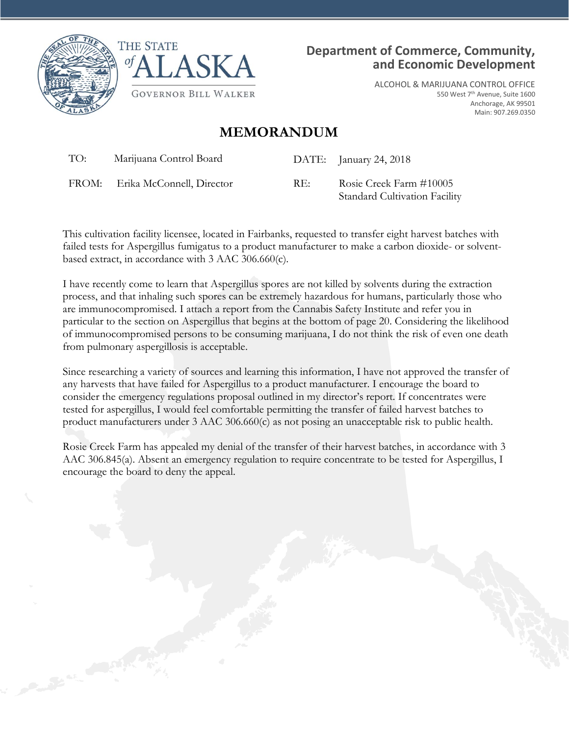



**Department of Commerce, Community, and Economic Development**

> ALCOHOL & MARIJUANA CONTROL OFFICE 550 West 7th Avenue, Suite 1600 Anchorage, AK 99501 Main: 907.269.0350

## **MEMORANDUM**

TO: Marijuana Control Board DATE: January 24, 2018

FROM: Erika McConnell, Director RE: Rosie Creek Farm #10005

Standard Cultivation Facility

This cultivation facility licensee, located in Fairbanks, requested to transfer eight harvest batches with failed tests for Aspergillus fumigatus to a product manufacturer to make a carbon dioxide- or solventbased extract, in accordance with 3 AAC 306.660(c).

I have recently come to learn that Aspergillus spores are not killed by solvents during the extraction process, and that inhaling such spores can be extremely hazardous for humans, particularly those who are immunocompromised. I attach a report from the Cannabis Safety Institute and refer you in particular to the section on Aspergillus that begins at the bottom of page 20. Considering the likelihood of immunocompromised persons to be consuming marijuana, I do not think the risk of even one death from pulmonary aspergillosis is acceptable.

Since researching a variety of sources and learning this information, I have not approved the transfer of any harvests that have failed for Aspergillus to a product manufacturer. I encourage the board to consider the emergency regulations proposal outlined in my director's report. If concentrates were tested for aspergillus, I would feel comfortable permitting the transfer of failed harvest batches to product manufacturers under 3 AAC 306.660(c) as not posing an unacceptable risk to public health.

Rosie Creek Farm has appealed my denial of the transfer of their harvest batches, in accordance with 3 AAC 306.845(a). Absent an emergency regulation to require concentrate to be tested for Aspergillus, I encourage the board to deny the appeal.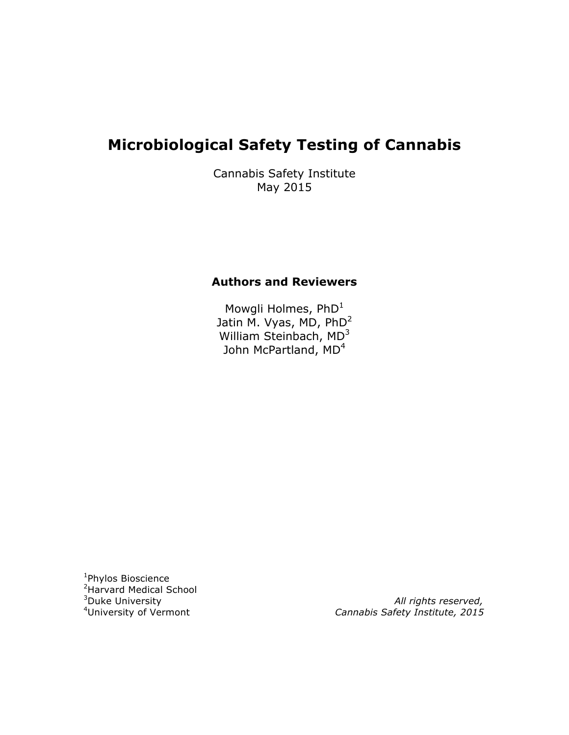# **Microbiological Safety Testing of Cannabis**

Cannabis Safety Institute May 2015

## **Authors and Reviewers**

Mowgli Holmes, PhD<sup>1</sup> Jatin M. Vyas, MD, PhD2 William Steinbach, MD<sup>3</sup> John McPartland, MD<sup>4</sup>

<sup>1</sup>Phylos Bioscience <sup>2</sup> Harvard Medical School <sup>3</sup>Duke University <sup>4</sup>University of Vermont

All rights reserved, Cannabis Safety Institute, 2015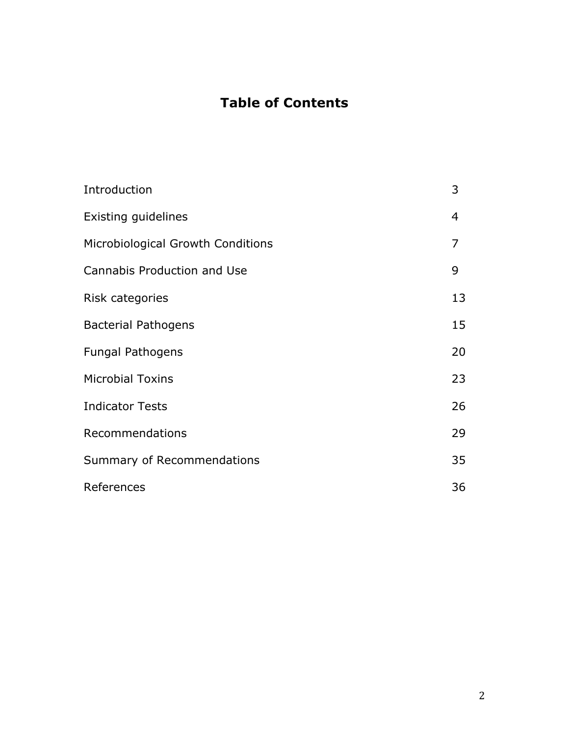# **Table of Contents**

| Introduction                      | 3  |
|-----------------------------------|----|
| Existing guidelines               | 4  |
| Microbiological Growth Conditions | 7  |
| Cannabis Production and Use       | 9  |
| Risk categories                   | 13 |
| <b>Bacterial Pathogens</b>        | 15 |
| <b>Fungal Pathogens</b>           | 20 |
| <b>Microbial Toxins</b>           | 23 |
| <b>Indicator Tests</b>            | 26 |
| Recommendations                   | 29 |
| Summary of Recommendations        | 35 |
| References                        | 36 |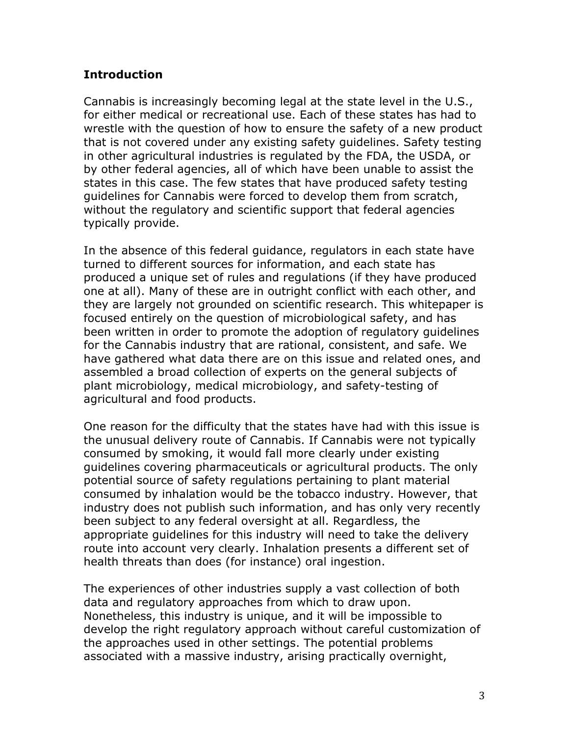## **Introduction**

Cannabis is increasingly becoming legal at the state level in the U.S., for either medical or recreational use. Each of these states has had to wrestle with the question of how to ensure the safety of a new product that is not covered under any existing safety guidelines. Safety testing in other agricultural industries is regulated by the FDA, the USDA, or by other federal agencies, all of which have been unable to assist the states in this case. The few states that have produced safety testing guidelines for Cannabis were forced to develop them from scratch, without the regulatory and scientific support that federal agencies typically provide.

In the absence of this federal guidance, regulators in each state have turned to different sources for information, and each state has produced a unique set of rules and regulations (if they have produced one at all). Many of these are in outright conflict with each other, and they are largely not grounded on scientific research. This whitepaper is focused entirely on the question of microbiological safety, and has been written in order to promote the adoption of regulatory guidelines for the Cannabis industry that are rational, consistent, and safe. We have gathered what data there are on this issue and related ones, and assembled a broad collection of experts on the general subjects of plant microbiology, medical microbiology, and safety-testing of agricultural and food products.

One reason for the difficulty that the states have had with this issue is the unusual delivery route of Cannabis. If Cannabis were not typically consumed by smoking, it would fall more clearly under existing guidelines covering pharmaceuticals or agricultural products. The only potential source of safety regulations pertaining to plant material consumed by inhalation would be the tobacco industry. However, that industry does not publish such information, and has only very recently been subject to any federal oversight at all. Regardless, the appropriate guidelines for this industry will need to take the delivery route into account very clearly. Inhalation presents a different set of health threats than does (for instance) oral ingestion.

The experiences of other industries supply a vast collection of both data and regulatory approaches from which to draw upon. Nonetheless, this industry is unique, and it will be impossible to develop the right regulatory approach without careful customization of the approaches used in other settings. The potential problems associated with a massive industry, arising practically overnight,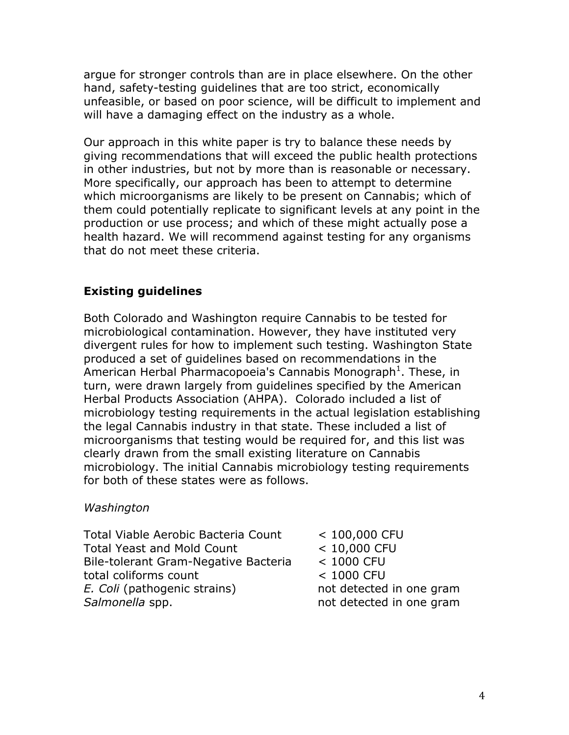argue for stronger controls than are in place elsewhere. On the other hand, safety-testing guidelines that are too strict, economically unfeasible, or based on poor science, will be difficult to implement and will have a damaging effect on the industry as a whole.

Our approach in this white paper is try to balance these needs by giving recommendations that will exceed the public health protections in other industries, but not by more than is reasonable or necessary. More specifically, our approach has been to attempt to determine which microorganisms are likely to be present on Cannabis; which of them could potentially replicate to significant levels at any point in the production or use process; and which of these might actually pose a health hazard. We will recommend against testing for any organisms that do not meet these criteria.

## **Existing guidelines**

Both Colorado and Washington require Cannabis to be tested for microbiological contamination. However, they have instituted very divergent rules for how to implement such testing. Washington State produced a set of guidelines based on recommendations in the American Herbal Pharmacopoeia's Cannabis Monograph<sup>1</sup>. These, in turn, were drawn largely from guidelines specified by the American Herbal Products Association (AHPA). Colorado included a list of microbiology testing requirements in the actual legislation establishing the legal Cannabis industry in that state. These included a list of microorganisms that testing would be required for, and this list was clearly drawn from the small existing literature on Cannabis microbiology. The initial Cannabis microbiology testing requirements for both of these states were as follows.

#### *Washington*

Total Viable Aerobic Bacteria Count < 100,000 CFU Total Yeast and Mold Count < 10,000 CFU Bile-tolerant Gram-Negative Bacteria < 1000 CFU total coliforms count < 1000 CFU *E. Coli* (pathogenic strains) not detected in one gram **Salmonella** spp. **not detected in one gram**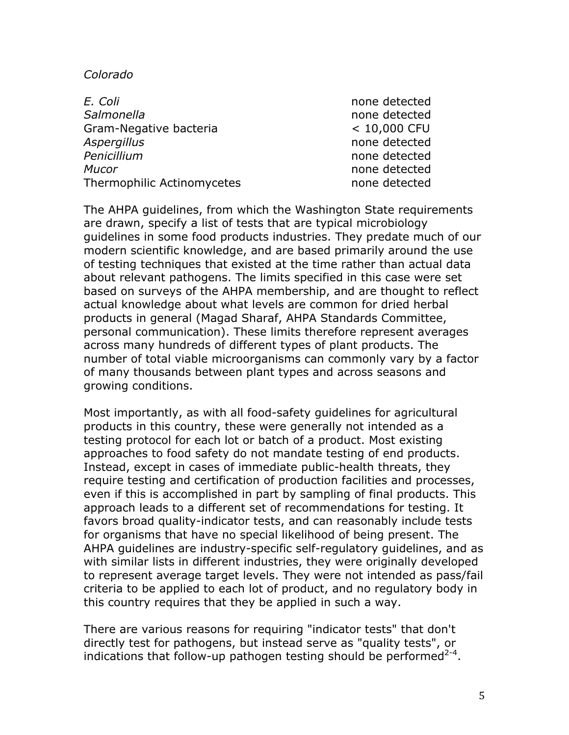#### *Colorado*

| E. Coli                    | none detected  |
|----------------------------|----------------|
| Salmonella                 | none detected  |
| Gram-Negative bacteria     | $< 10,000$ CFU |
| <b>Aspergillus</b>         | none detected  |
| Penicillium                | none detected  |
| <b>Mucor</b>               | none detected  |
| Thermophilic Actinomycetes | none detected  |

The AHPA guidelines, from which the Washington State requirements are drawn, specify a list of tests that are typical microbiology guidelines in some food products industries. They predate much of our modern scientific knowledge, and are based primarily around the use of testing techniques that existed at the time rather than actual data about relevant pathogens. The limits specified in this case were set based on surveys of the AHPA membership, and are thought to reflect actual knowledge about what levels are common for dried herbal products in general (Magad Sharaf, AHPA Standards Committee, personal communication). These limits therefore represent averages across many hundreds of different types of plant products. The number of total viable microorganisms can commonly vary by a factor of many thousands between plant types and across seasons and growing conditions.

Most importantly, as with all food-safety guidelines for agricultural products in this country, these were generally not intended as a testing protocol for each lot or batch of a product. Most existing approaches to food safety do not mandate testing of end products. Instead, except in cases of immediate public-health threats, they require testing and certification of production facilities and processes, even if this is accomplished in part by sampling of final products. This approach leads to a different set of recommendations for testing. It favors broad quality-indicator tests, and can reasonably include tests for organisms that have no special likelihood of being present. The AHPA guidelines are industry-specific self-regulatory guidelines, and as with similar lists in different industries, they were originally developed to represent average target levels. They were not intended as pass/fail criteria to be applied to each lot of product, and no regulatory body in this country requires that they be applied in such a way.

There are various reasons for requiring "indicator tests" that don't directly test for pathogens, but instead serve as "quality tests", or indications that follow-up pathogen testing should be performed $2-4$ .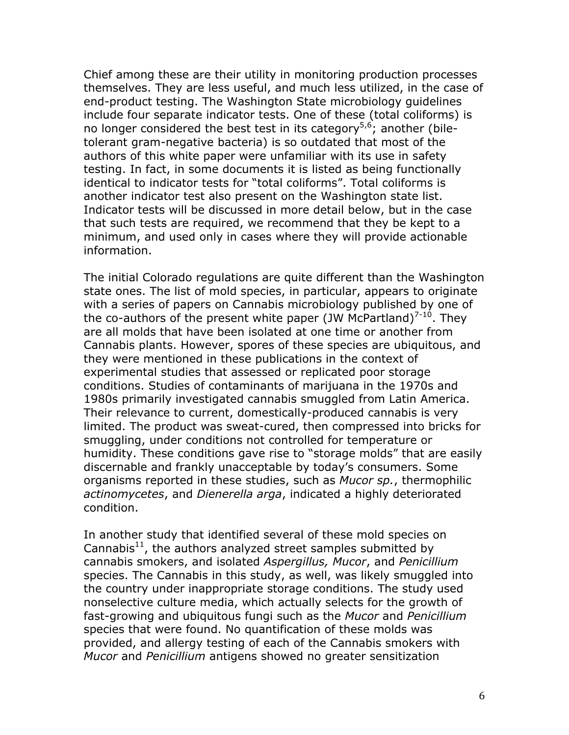Chief among these are their utility in monitoring production processes themselves. They are less useful, and much less utilized, in the case of end-product testing. The Washington State microbiology guidelines include four separate indicator tests. One of these (total coliforms) is no longer considered the best test in its category<sup>5,6</sup>; another (biletolerant gram-negative bacteria) is so outdated that most of the authors of this white paper were unfamiliar with its use in safety testing. In fact, in some documents it is listed as being functionally identical to indicator tests for "total coliforms". Total coliforms is another indicator test also present on the Washington state list. Indicator tests will be discussed in more detail below, but in the case that such tests are required, we recommend that they be kept to a minimum, and used only in cases where they will provide actionable information.

The initial Colorado regulations are quite different than the Washington state ones. The list of mold species, in particular, appears to originate with a series of papers on Cannabis microbiology published by one of the co-authors of the present white paper (JW McPartland)<sup>7-10</sup>. They are all molds that have been isolated at one time or another from Cannabis plants. However, spores of these species are ubiquitous, and they were mentioned in these publications in the context of experimental studies that assessed or replicated poor storage conditions. Studies of contaminants of marijuana in the 1970s and 1980s primarily investigated cannabis smuggled from Latin America. Their relevance to current, domestically-produced cannabis is very limited. The product was sweat-cured, then compressed into bricks for smuggling, under conditions not controlled for temperature or humidity. These conditions gave rise to "storage molds" that are easily discernable and frankly unacceptable by today's consumers. Some organisms reported in these studies, such as *Mucor sp.*, thermophilic *actinomycetes*, and *Dienerella arga*, indicated a highly deteriorated condition.

In another study that identified several of these mold species on Cannabis $^{11}$ , the authors analyzed street samples submitted by cannabis smokers, and isolated *Aspergillus, Mucor*, and *Penicillium* species. The Cannabis in this study, as well, was likely smuggled into the country under inappropriate storage conditions. The study used nonselective culture media, which actually selects for the growth of fast-growing and ubiquitous fungi such as the *Mucor* and *Penicillium* species that were found. No quantification of these molds was provided, and allergy testing of each of the Cannabis smokers with *Mucor* and *Penicillium* antigens showed no greater sensitization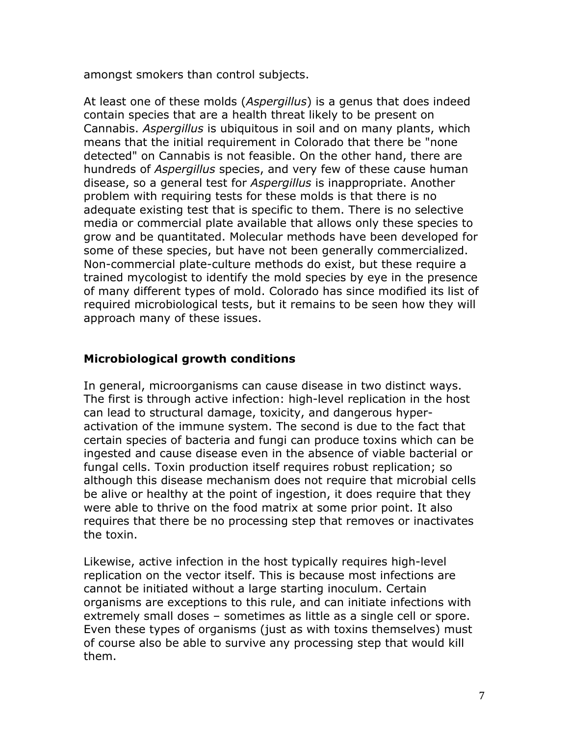amongst smokers than control subjects.

At least one of these molds (*Aspergillus*) is a genus that does indeed contain species that are a health threat likely to be present on Cannabis. *Aspergillus* is ubiquitous in soil and on many plants, which means that the initial requirement in Colorado that there be "none detected" on Cannabis is not feasible. On the other hand, there are hundreds of *Aspergillus* species, and very few of these cause human disease, so a general test for *Aspergillus* is inappropriate. Another problem with requiring tests for these molds is that there is no adequate existing test that is specific to them. There is no selective media or commercial plate available that allows only these species to grow and be quantitated. Molecular methods have been developed for some of these species, but have not been generally commercialized. Non-commercial plate-culture methods do exist, but these require a trained mycologist to identify the mold species by eye in the presence of many different types of mold. Colorado has since modified its list of required microbiological tests, but it remains to be seen how they will approach many of these issues.

## **Microbiological growth conditions**

In general, microorganisms can cause disease in two distinct ways. The first is through active infection: high-level replication in the host can lead to structural damage, toxicity, and dangerous hyperactivation of the immune system. The second is due to the fact that certain species of bacteria and fungi can produce toxins which can be ingested and cause disease even in the absence of viable bacterial or fungal cells. Toxin production itself requires robust replication; so although this disease mechanism does not require that microbial cells be alive or healthy at the point of ingestion, it does require that they were able to thrive on the food matrix at some prior point. It also requires that there be no processing step that removes or inactivates the toxin.

Likewise, active infection in the host typically requires high-level replication on the vector itself. This is because most infections are cannot be initiated without a large starting inoculum. Certain organisms are exceptions to this rule, and can initiate infections with extremely small doses – sometimes as little as a single cell or spore. Even these types of organisms (just as with toxins themselves) must of course also be able to survive any processing step that would kill them.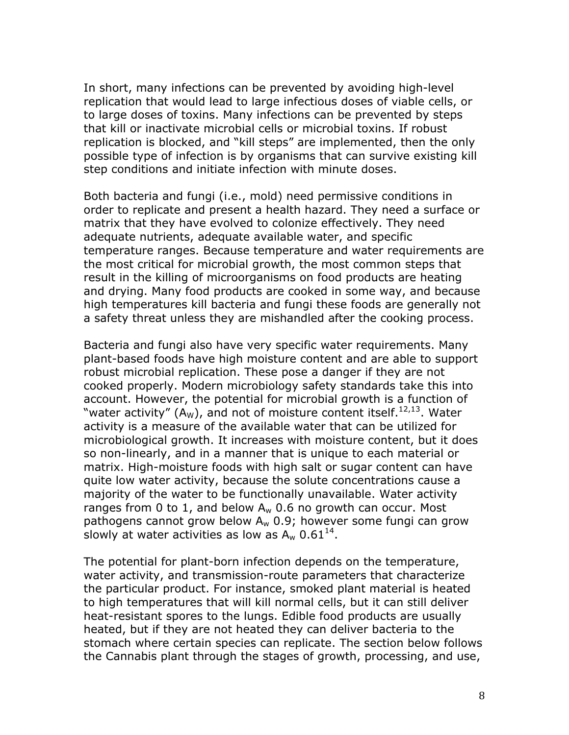In short, many infections can be prevented by avoiding high-level replication that would lead to large infectious doses of viable cells, or to large doses of toxins. Many infections can be prevented by steps that kill or inactivate microbial cells or microbial toxins. If robust replication is blocked, and "kill steps" are implemented, then the only possible type of infection is by organisms that can survive existing kill step conditions and initiate infection with minute doses.

Both bacteria and fungi (i.e., mold) need permissive conditions in order to replicate and present a health hazard. They need a surface or matrix that they have evolved to colonize effectively. They need adequate nutrients, adequate available water, and specific temperature ranges. Because temperature and water requirements are the most critical for microbial growth, the most common steps that result in the killing of microorganisms on food products are heating and drying. Many food products are cooked in some way, and because high temperatures kill bacteria and fungi these foods are generally not a safety threat unless they are mishandled after the cooking process.

Bacteria and fungi also have very specific water requirements. Many plant-based foods have high moisture content and are able to support robust microbial replication. These pose a danger if they are not cooked properly. Modern microbiology safety standards take this into account. However, the potential for microbial growth is a function of "water activity" (A<sub>W</sub>), and not of moisture content itself.<sup>12,13</sup>. Water activity is a measure of the available water that can be utilized for microbiological growth. It increases with moisture content, but it does so non-linearly, and in a manner that is unique to each material or matrix. High-moisture foods with high salt or sugar content can have quite low water activity, because the solute concentrations cause a majority of the water to be functionally unavailable. Water activity ranges from 0 to 1, and below  $A_w$  0.6 no growth can occur. Most pathogens cannot grow below  $A_w$  0.9; however some fungi can grow slowly at water activities as low as  $A_w$  0.61<sup>14</sup>.

The potential for plant-born infection depends on the temperature, water activity, and transmission-route parameters that characterize the particular product. For instance, smoked plant material is heated to high temperatures that will kill normal cells, but it can still deliver heat-resistant spores to the lungs. Edible food products are usually heated, but if they are not heated they can deliver bacteria to the stomach where certain species can replicate. The section below follows the Cannabis plant through the stages of growth, processing, and use,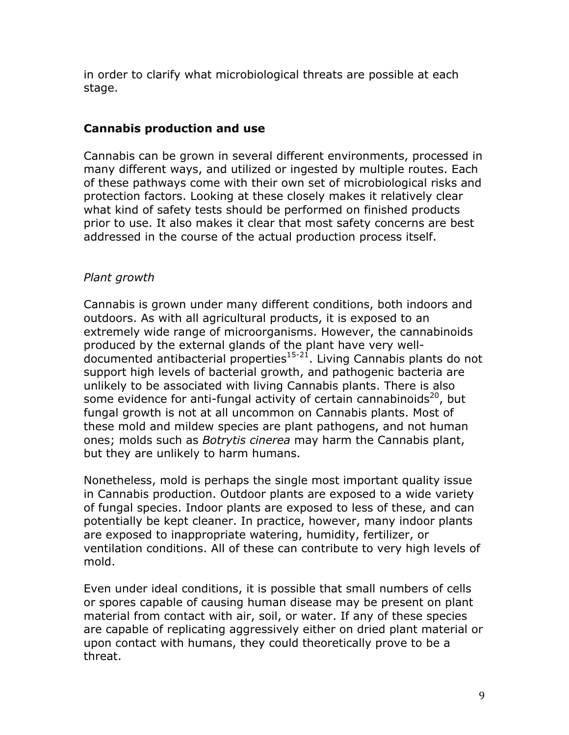in order to clarify what microbiological threats are possible at each stage.

## **Cannabis production and use**

Cannabis can be grown in several different environments, processed in many different ways, and utilized or ingested by multiple routes. Each of these pathways come with their own set of microbiological risks and protection factors. Looking at these closely makes it relatively clear what kind of safety tests should be performed on finished products prior to use. It also makes it clear that most safety concerns are best addressed in the course of the actual production process itself.

## *Plant growth*

Cannabis is grown under many different conditions, both indoors and outdoors. As with all agricultural products, it is exposed to an extremely wide range of microorganisms. However, the cannabinoids produced by the external glands of the plant have very well- $\frac{1}{2}$  documented antibacterial properties<sup>15-21</sup>. Living Cannabis plants do not support high levels of bacterial growth, and pathogenic bacteria are unlikely to be associated with living Cannabis plants. There is also some evidence for anti-fungal activity of certain cannabinoids<sup>20</sup>, but fungal growth is not at all uncommon on Cannabis plants. Most of these mold and mildew species are plant pathogens, and not human ones; molds such as *Botrytis cinerea* may harm the Cannabis plant, but they are unlikely to harm humans.

Nonetheless, mold is perhaps the single most important quality issue in Cannabis production. Outdoor plants are exposed to a wide variety of fungal species. Indoor plants are exposed to less of these, and can potentially be kept cleaner. In practice, however, many indoor plants are exposed to inappropriate watering, humidity, fertilizer, or ventilation conditions. All of these can contribute to very high levels of mold.

Even under ideal conditions, it is possible that small numbers of cells or spores capable of causing human disease may be present on plant material from contact with air, soil, or water. If any of these species are capable of replicating aggressively either on dried plant material or upon contact with humans, they could theoretically prove to be a threat.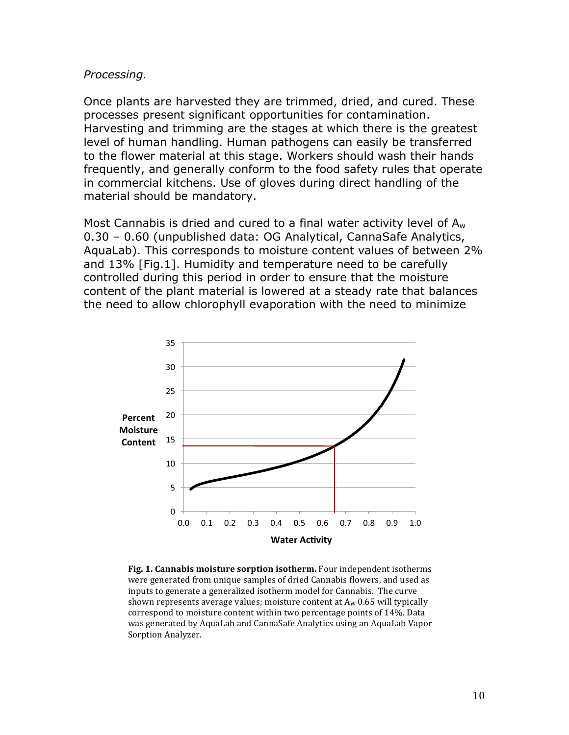#### *Processing.*

Once plants are harvested they are trimmed, dried, and cured. These processes present significant opportunities for contamination. Harvesting and trimming are the stages at which there is the greatest level of human handling. Human pathogens can easily be transferred to the flower material at this stage. Workers should wash their hands frequently, and generally conform to the food safety rules that operate in commercial kitchens. Use of gloves during direct handling of the material should be mandatory.

Most Cannabis is dried and cured to a final water activity level of  $A_w$ 0.30 – 0.60 (unpublished data: OG Analytical, CannaSafe Analytics, AquaLab). This corresponds to moisture content values of between 2% and 13% [Fig.1]. Humidity and temperature need to be carefully controlled during this period in order to ensure that the moisture content of the plant material is lowered at a steady rate that balances the need to allow chlorophyll evaporation with the need to minimize



**Fig. 1. Cannabis moisture sorption isotherm.** Four independent isotherms were generated from unique samples of dried Cannabis flowers, and used as inputs to generate a generalized isotherm model for Cannabis. The curve shown represents average values; moisture content at  $A_W$  0.65 will typically correspond to moisture content within two percentage points of 14%. Data was generated by AquaLab and CannaSafe Analytics using an AquaLab Vapor Sorption Analyzer.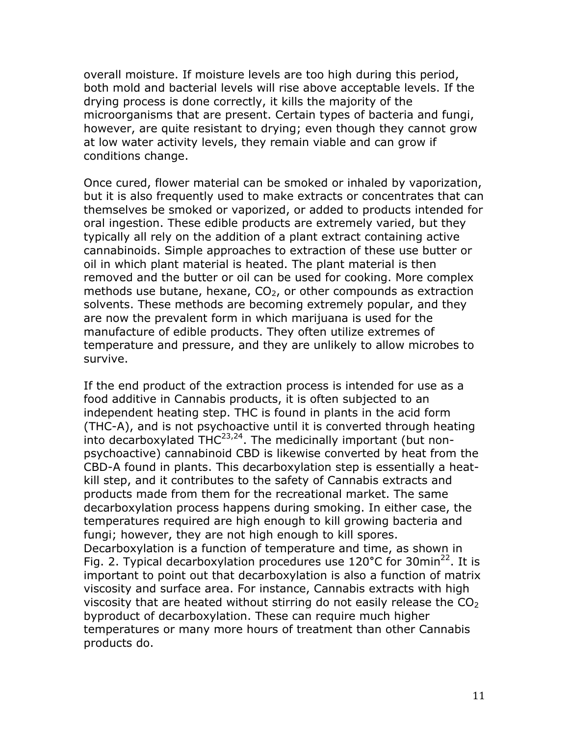overall moisture. If moisture levels are too high during this period, both mold and bacterial levels will rise above acceptable levels. If the drying process is done correctly, it kills the majority of the microorganisms that are present. Certain types of bacteria and fungi, however, are quite resistant to drying; even though they cannot grow at low water activity levels, they remain viable and can grow if conditions change.

Once cured, flower material can be smoked or inhaled by vaporization, but it is also frequently used to make extracts or concentrates that can themselves be smoked or vaporized, or added to products intended for oral ingestion. These edible products are extremely varied, but they typically all rely on the addition of a plant extract containing active cannabinoids. Simple approaches to extraction of these use butter or oil in which plant material is heated. The plant material is then removed and the butter or oil can be used for cooking. More complex methods use butane, hexane,  $CO<sub>2</sub>$ , or other compounds as extraction solvents. These methods are becoming extremely popular, and they are now the prevalent form in which marijuana is used for the manufacture of edible products. They often utilize extremes of temperature and pressure, and they are unlikely to allow microbes to survive.

If the end product of the extraction process is intended for use as a food additive in Cannabis products, it is often subjected to an independent heating step. THC is found in plants in the acid form (THC-A), and is not psychoactive until it is converted through heating into decarboxylated  $THC^{23,24}$ . The medicinally important (but nonpsychoactive) cannabinoid CBD is likewise converted by heat from the CBD-A found in plants. This decarboxylation step is essentially a heatkill step, and it contributes to the safety of Cannabis extracts and products made from them for the recreational market. The same decarboxylation process happens during smoking. In either case, the temperatures required are high enough to kill growing bacteria and fungi; however, they are not high enough to kill spores. Decarboxylation is a function of temperature and time, as shown in Fig. 2. Typical decarboxylation procedures use 120°C for 30min<sup>22</sup>. It is important to point out that decarboxylation is also a function of matrix viscosity and surface area. For instance, Cannabis extracts with high viscosity that are heated without stirring do not easily release the  $CO<sub>2</sub>$ byproduct of decarboxylation. These can require much higher temperatures or many more hours of treatment than other Cannabis products do.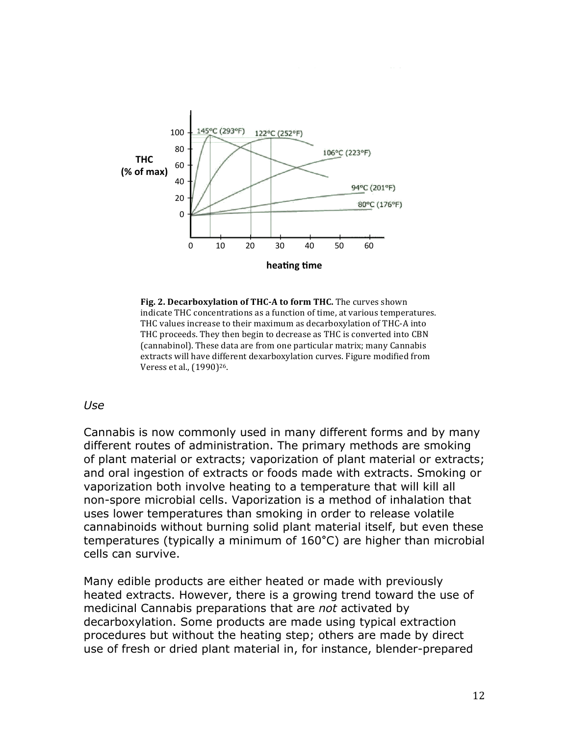

Fig. 2. Decarboxylation of THC-A to form THC. The curves shown indicate THC concentrations as a function of time, at various temperatures. THC values increase to their maximum as decarboxylation of THC-A into THC proceeds. They then begin to decrease as THC is converted into CBN (cannabinol). These data are from one particular matrix; many Cannabis extracts will have different dexarboxylation curves. Figure modified from Veress et al., (1990)<sup>26</sup>.

#### *Use*

Cannabis is now commonly used in many different forms and by many different routes of administration. The primary methods are smoking of plant material or extracts; vaporization of plant material or extracts; and oral ingestion of extracts or foods made with extracts. Smoking or vaporization both involve heating to a temperature that will kill all non-spore microbial cells. Vaporization is a method of inhalation that uses lower temperatures than smoking in order to release volatile cannabinoids without burning solid plant material itself, but even these temperatures (typically a minimum of 160**°**C) are higher than microbial cells can survive.

Many edible products are either heated or made with previously heated extracts. However, there is a growing trend toward the use of medicinal Cannabis preparations that are *not* activated by decarboxylation. Some products are made using typical extraction procedures but without the heating step; others are made by direct use of fresh or dried plant material in, for instance, blender-prepared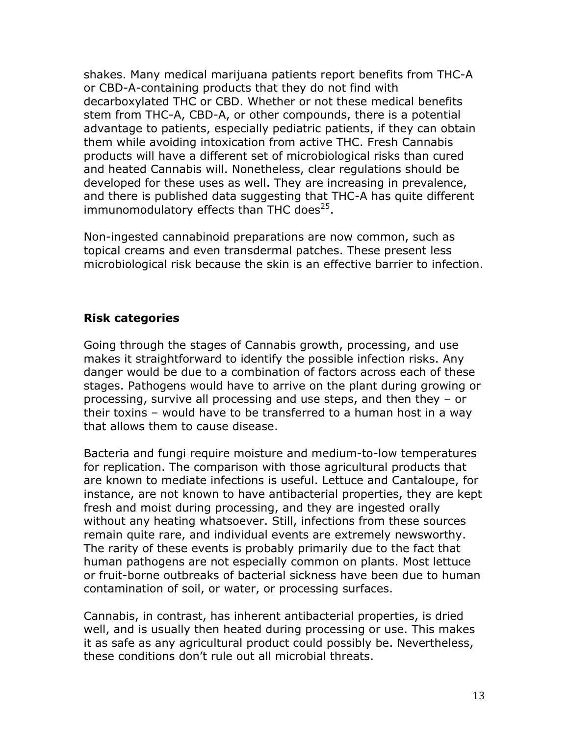shakes. Many medical marijuana patients report benefits from THC-A or CBD-A-containing products that they do not find with decarboxylated THC or CBD. Whether or not these medical benefits stem from THC-A, CBD-A, or other compounds, there is a potential advantage to patients, especially pediatric patients, if they can obtain them while avoiding intoxication from active THC. Fresh Cannabis products will have a different set of microbiological risks than cured and heated Cannabis will. Nonetheless, clear regulations should be developed for these uses as well. They are increasing in prevalence, and there is published data suggesting that THC-A has quite different immunomodulatory effects than THC does $25$ .

Non-ingested cannabinoid preparations are now common, such as topical creams and even transdermal patches. These present less microbiological risk because the skin is an effective barrier to infection.

#### **Risk categories**

Going through the stages of Cannabis growth, processing, and use makes it straightforward to identify the possible infection risks. Any danger would be due to a combination of factors across each of these stages. Pathogens would have to arrive on the plant during growing or processing, survive all processing and use steps, and then they – or their toxins – would have to be transferred to a human host in a way that allows them to cause disease.

Bacteria and fungi require moisture and medium-to-low temperatures for replication. The comparison with those agricultural products that are known to mediate infections is useful. Lettuce and Cantaloupe, for instance, are not known to have antibacterial properties, they are kept fresh and moist during processing, and they are ingested orally without any heating whatsoever. Still, infections from these sources remain quite rare, and individual events are extremely newsworthy. The rarity of these events is probably primarily due to the fact that human pathogens are not especially common on plants. Most lettuce or fruit-borne outbreaks of bacterial sickness have been due to human contamination of soil, or water, or processing surfaces.

Cannabis, in contrast, has inherent antibacterial properties, is dried well, and is usually then heated during processing or use. This makes it as safe as any agricultural product could possibly be. Nevertheless, these conditions don't rule out all microbial threats.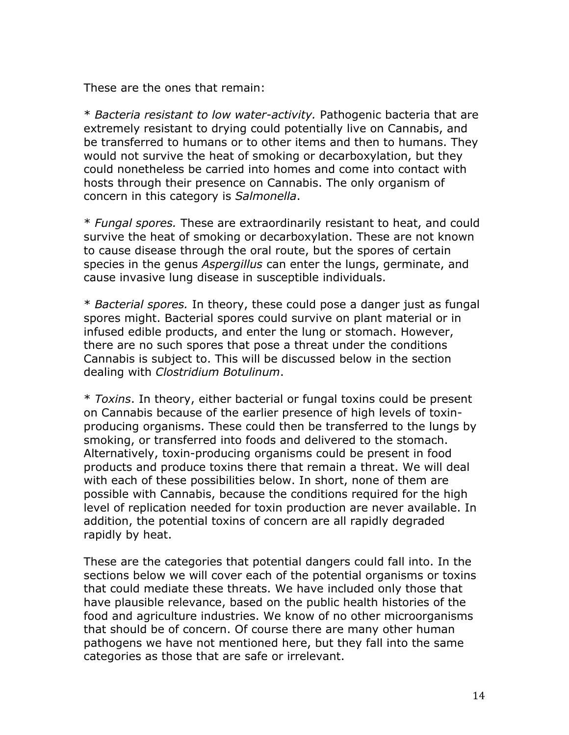These are the ones that remain:

\* *Bacteria resistant to low water-activity.* Pathogenic bacteria that are extremely resistant to drying could potentially live on Cannabis, and be transferred to humans or to other items and then to humans. They would not survive the heat of smoking or decarboxylation, but they could nonetheless be carried into homes and come into contact with hosts through their presence on Cannabis. The only organism of concern in this category is *Salmonella*.

\* *Fungal spores.* These are extraordinarily resistant to heat, and could survive the heat of smoking or decarboxylation. These are not known to cause disease through the oral route, but the spores of certain species in the genus *Aspergillus* can enter the lungs, germinate, and cause invasive lung disease in susceptible individuals.

\* *Bacterial spores.* In theory, these could pose a danger just as fungal spores might. Bacterial spores could survive on plant material or in infused edible products, and enter the lung or stomach. However, there are no such spores that pose a threat under the conditions Cannabis is subject to. This will be discussed below in the section dealing with *Clostridium Botulinum*.

\* *Toxins*. In theory, either bacterial or fungal toxins could be present on Cannabis because of the earlier presence of high levels of toxinproducing organisms. These could then be transferred to the lungs by smoking, or transferred into foods and delivered to the stomach. Alternatively, toxin-producing organisms could be present in food products and produce toxins there that remain a threat. We will deal with each of these possibilities below. In short, none of them are possible with Cannabis, because the conditions required for the high level of replication needed for toxin production are never available. In addition, the potential toxins of concern are all rapidly degraded rapidly by heat.

These are the categories that potential dangers could fall into. In the sections below we will cover each of the potential organisms or toxins that could mediate these threats. We have included only those that have plausible relevance, based on the public health histories of the food and agriculture industries. We know of no other microorganisms that should be of concern. Of course there are many other human pathogens we have not mentioned here, but they fall into the same categories as those that are safe or irrelevant.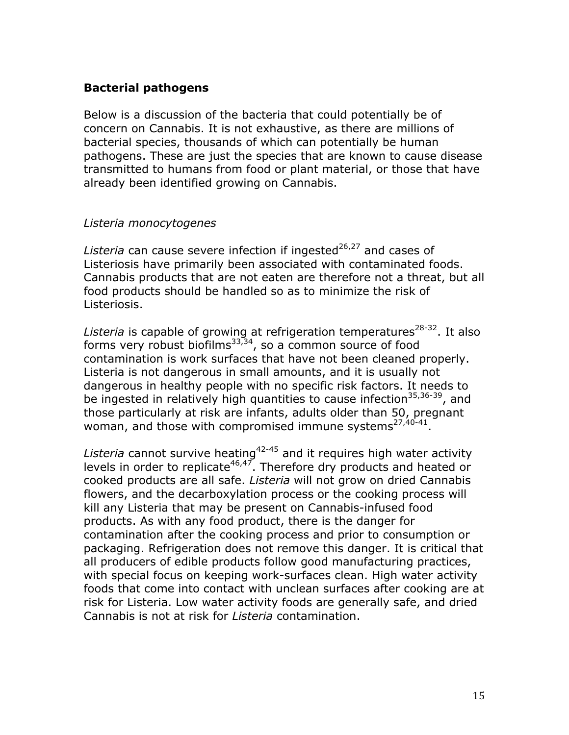## **Bacterial pathogens**

Below is a discussion of the bacteria that could potentially be of concern on Cannabis. It is not exhaustive, as there are millions of bacterial species, thousands of which can potentially be human pathogens. These are just the species that are known to cause disease transmitted to humans from food or plant material, or those that have already been identified growing on Cannabis.

## *Listeria monocytogenes*

Listeria can cause severe infection if ingested<sup>26,27</sup> and cases of Listeriosis have primarily been associated with contaminated foods. Cannabis products that are not eaten are therefore not a threat, but all food products should be handled so as to minimize the risk of Listeriosis.

Listeria is capable of growing at refrigeration temperatures<sup>28-32</sup>. It also forms very robust biofilms $33,34$ , so a common source of food contamination is work surfaces that have not been cleaned properly. Listeria is not dangerous in small amounts, and it is usually not dangerous in healthy people with no specific risk factors. It needs to be ingested in relatively high quantities to cause infection<sup>35,36-39</sup>, and those particularly at risk are infants, adults older than 50, pregnant woman, and those with compromised immune systems $27,40-41$ .

Listeria cannot survive heating<sup>42-45</sup> and it requires high water activity levels in order to replicate<sup>46,47</sup>. Therefore dry products and heated or cooked products are all safe. *Listeria* will not grow on dried Cannabis flowers, and the decarboxylation process or the cooking process will kill any Listeria that may be present on Cannabis-infused food products. As with any food product, there is the danger for contamination after the cooking process and prior to consumption or packaging. Refrigeration does not remove this danger. It is critical that all producers of edible products follow good manufacturing practices, with special focus on keeping work-surfaces clean. High water activity foods that come into contact with unclean surfaces after cooking are at risk for Listeria. Low water activity foods are generally safe, and dried Cannabis is not at risk for *Listeria* contamination.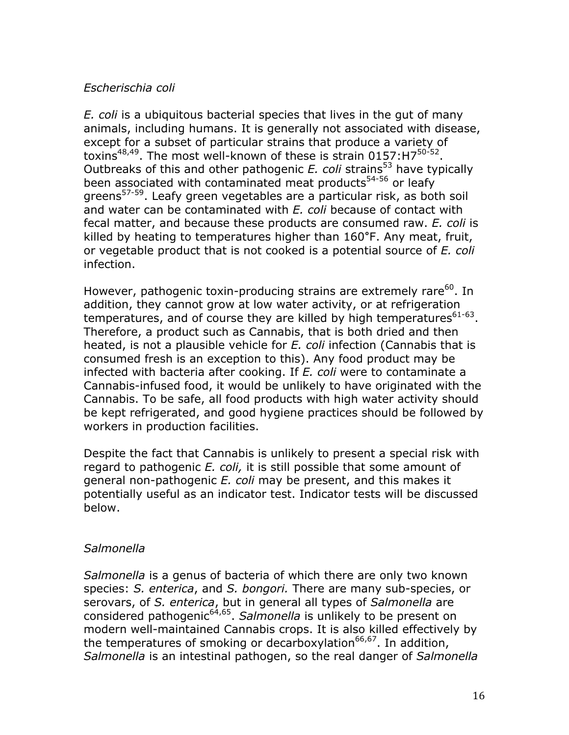#### *Escherischia coli*

*E. coli* is a ubiquitous bacterial species that lives in the gut of many animals, including humans. It is generally not associated with disease, except for a subset of particular strains that produce a variety of toxins<sup>48,49</sup>. The most well-known of these is strain  $0157:H7^{50-52}$ . Outbreaks of this and other pathogenic  $E$ . coli strains<sup>53</sup> have typically been associated with contaminated meat products<sup>54-56</sup> or leafy greens57-59. Leafy green vegetables are a particular risk, as both soil and water can be contaminated with *E. coli* because of contact with fecal matter, and because these products are consumed raw. *E. coli* is killed by heating to temperatures higher than 160**°**F. Any meat, fruit, or vegetable product that is not cooked is a potential source of *E. coli* infection.

However, pathogenic toxin-producing strains are extremely rare<sup>60</sup>. In addition, they cannot grow at low water activity, or at refrigeration temperatures, and of course they are killed by high temperatures $61-63$ . Therefore, a product such as Cannabis, that is both dried and then heated, is not a plausible vehicle for *E. coli* infection (Cannabis that is consumed fresh is an exception to this). Any food product may be infected with bacteria after cooking. If *E. coli* were to contaminate a Cannabis-infused food, it would be unlikely to have originated with the Cannabis. To be safe, all food products with high water activity should be kept refrigerated, and good hygiene practices should be followed by workers in production facilities.

Despite the fact that Cannabis is unlikely to present a special risk with regard to pathogenic *E. coli,* it is still possible that some amount of general non-pathogenic *E. coli* may be present, and this makes it potentially useful as an indicator test. Indicator tests will be discussed below.

#### *Salmonella*

*Salmonella* is a genus of bacteria of which there are only two known species: *S. enterica*, and *S. bongori.* There are many sub-species, or serovars, of *S. enterica*, but in general all types of *Salmonella* are considered pathogenic64,65. *Salmonella* is unlikely to be present on modern well-maintained Cannabis crops. It is also killed effectively by the temperatures of smoking or decarboxylation<sup>66,67</sup>. In addition, *Salmonella* is an intestinal pathogen, so the real danger of *Salmonella*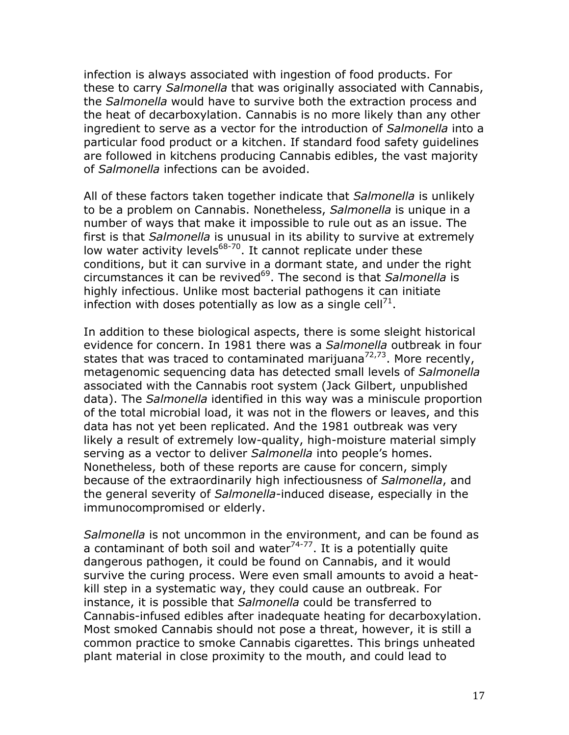infection is always associated with ingestion of food products. For these to carry *Salmonella* that was originally associated with Cannabis, the *Salmonella* would have to survive both the extraction process and the heat of decarboxylation. Cannabis is no more likely than any other ingredient to serve as a vector for the introduction of *Salmonella* into a particular food product or a kitchen. If standard food safety guidelines are followed in kitchens producing Cannabis edibles, the vast majority of *Salmonella* infections can be avoided.

All of these factors taken together indicate that *Salmonella* is unlikely to be a problem on Cannabis. Nonetheless, *Salmonella* is unique in a number of ways that make it impossible to rule out as an issue. The first is that *Salmonella* is unusual in its ability to survive at extremely low water activity levels $68-70$ . It cannot replicate under these conditions, but it can survive in a dormant state, and under the right circumstances it can be revived<sup>69</sup>. The second is that *Salmonella* is highly infectious. Unlike most bacterial pathogens it can initiate infection with doses potentially as low as a single cell<sup>71</sup>.

In addition to these biological aspects, there is some sleight historical evidence for concern. In 1981 there was a *Salmonella* outbreak in four states that was traced to contaminated marijuana<sup>72,73</sup>. More recently, metagenomic sequencing data has detected small levels of *Salmonella* associated with the Cannabis root system (Jack Gilbert, unpublished data). The *Salmonella* identified in this way was a miniscule proportion of the total microbial load, it was not in the flowers or leaves, and this data has not yet been replicated. And the 1981 outbreak was very likely a result of extremely low-quality, high-moisture material simply serving as a vector to deliver *Salmonella* into people's homes. Nonetheless, both of these reports are cause for concern, simply because of the extraordinarily high infectiousness of *Salmonella*, and the general severity of *Salmonella*-induced disease, especially in the immunocompromised or elderly.

*Salmonella* is not uncommon in the environment, and can be found as a contaminant of both soil and water $74-77$ . It is a potentially quite dangerous pathogen, it could be found on Cannabis, and it would survive the curing process. Were even small amounts to avoid a heatkill step in a systematic way, they could cause an outbreak. For instance, it is possible that *Salmonella* could be transferred to Cannabis-infused edibles after inadequate heating for decarboxylation. Most smoked Cannabis should not pose a threat, however, it is still a common practice to smoke Cannabis cigarettes. This brings unheated plant material in close proximity to the mouth, and could lead to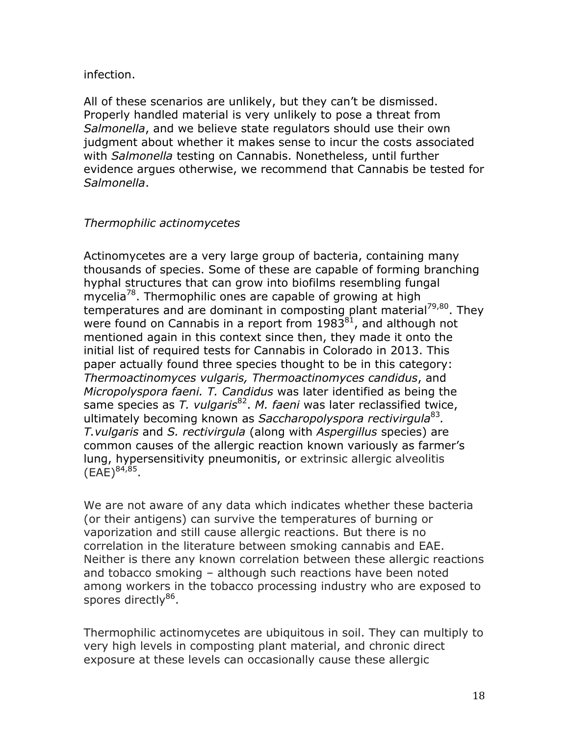#### infection.

All of these scenarios are unlikely, but they can't be dismissed. Properly handled material is very unlikely to pose a threat from *Salmonella*, and we believe state regulators should use their own judgment about whether it makes sense to incur the costs associated with *Salmonella* testing on Cannabis. Nonetheless, until further evidence argues otherwise, we recommend that Cannabis be tested for *Salmonella*.

## *Thermophilic actinomycetes*

Actinomycetes are a very large group of bacteria, containing many thousands of species. Some of these are capable of forming branching hyphal structures that can grow into biofilms resembling fungal mycelia<sup>78</sup>. Thermophilic ones are capable of growing at high temperatures and are dominant in composting plant material<sup>79,80</sup>. They were found on Cannabis in a report from  $1983^{81}$ , and although not mentioned again in this context since then, they made it onto the initial list of required tests for Cannabis in Colorado in 2013. This paper actually found three species thought to be in this category: *Thermoactinomyces vulgaris, Thermoactinomyces candidus*, and *Micropolyspora faeni. T. Candidus* was later identified as being the same species as *T. vulgaris*<sup>82</sup>. *M. faeni* was later reclassified twice, ultimately becoming known as *Saccharopolyspora rectivirgula*<sup>83</sup>*. T.vulgaris* and *S. rectivirgula* (along with *Aspergillus* species) are common causes of the allergic reaction known variously as farmer's lung, hypersensitivity pneumonitis, or extrinsic allergic alveolitis  $(EAE)^{84,85}$ .

We are not aware of any data which indicates whether these bacteria (or their antigens) can survive the temperatures of burning or vaporization and still cause allergic reactions. But there is no correlation in the literature between smoking cannabis and EAE. Neither is there any known correlation between these allergic reactions and tobacco smoking – although such reactions have been noted among workers in the tobacco processing industry who are exposed to spores directly<sup>86</sup>.

Thermophilic actinomycetes are ubiquitous in soil. They can multiply to very high levels in composting plant material, and chronic direct exposure at these levels can occasionally cause these allergic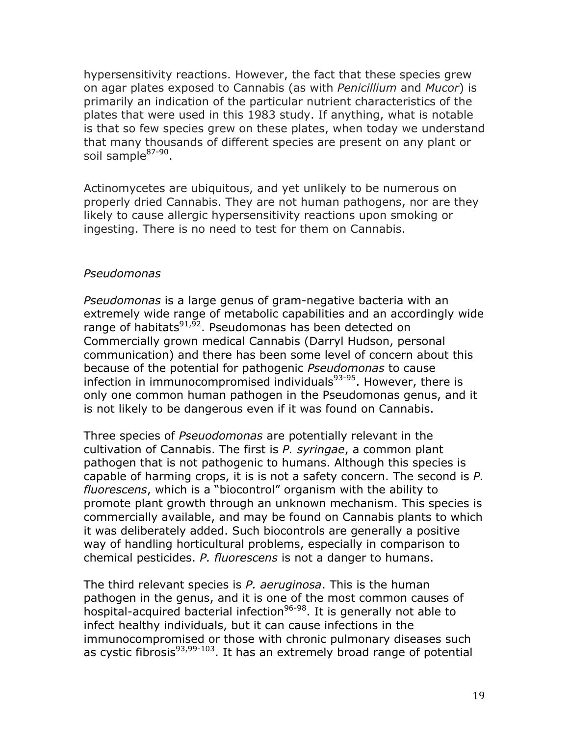hypersensitivity reactions. However, the fact that these species grew on agar plates exposed to Cannabis (as with *Penicillium* and *Mucor*) is primarily an indication of the particular nutrient characteristics of the plates that were used in this 1983 study. If anything, what is notable is that so few species grew on these plates, when today we understand that many thousands of different species are present on any plant or soil sample<sup>87-90</sup>.

Actinomycetes are ubiquitous, and yet unlikely to be numerous on properly dried Cannabis. They are not human pathogens, nor are they likely to cause allergic hypersensitivity reactions upon smoking or ingesting. There is no need to test for them on Cannabis.

#### *Pseudomonas*

*Pseudomonas* is a large genus of gram-negative bacteria with an extremely wide range of metabolic capabilities and an accordingly wide range of habitats<sup>91,92</sup>. Pseudomonas has been detected on Commercially grown medical Cannabis (Darryl Hudson, personal communication) and there has been some level of concern about this because of the potential for pathogenic *Pseudomonas* to cause infection in immunocompromised individuals $93-95$ . However, there is only one common human pathogen in the Pseudomonas genus, and it is not likely to be dangerous even if it was found on Cannabis.

Three species of *Pseuodomonas* are potentially relevant in the cultivation of Cannabis. The first is *P. syringae*, a common plant pathogen that is not pathogenic to humans. Although this species is capable of harming crops, it is is not a safety concern. The second is *P. fluorescens*, which is a "biocontrol" organism with the ability to promote plant growth through an unknown mechanism. This species is commercially available, and may be found on Cannabis plants to which it was deliberately added. Such biocontrols are generally a positive way of handling horticultural problems, especially in comparison to chemical pesticides. *P. fluorescens* is not a danger to humans.

The third relevant species is *P. aeruginosa*. This is the human pathogen in the genus, and it is one of the most common causes of hospital-acquired bacterial infection<sup>96-98</sup>. It is generally not able to infect healthy individuals, but it can cause infections in the immunocompromised or those with chronic pulmonary diseases such as cystic fibrosis<sup>93,99-103</sup>. It has an extremely broad range of potential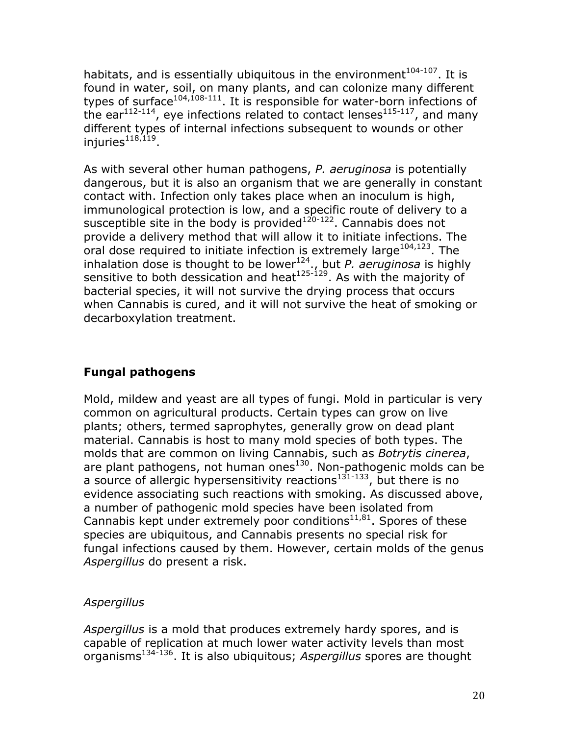habitats, and is essentially ubiquitous in the environment $104-107$ . It is found in water, soil, on many plants, and can colonize many different types of surface<sup>104,108-111</sup>. It is responsible for water-born infections of the ear<sup>112-114</sup>, eye infections related to contact lenses<sup>115-117</sup>, and many different types of internal infections subsequent to wounds or other injuries $118,119$ .

As with several other human pathogens, *P. aeruginosa* is potentially dangerous, but it is also an organism that we are generally in constant contact with. Infection only takes place when an inoculum is high, immunological protection is low, and a specific route of delivery to a susceptible site in the body is provided<sup>120-122</sup>. Cannabis does not provide a delivery method that will allow it to initiate infections. The oral dose required to initiate infection is extremely large $104,123$ . The inhalation dose is thought to be lower<sup>124</sup>., but *P. aeruginosa* is highly sensitive to both dessication and heat<sup>125-129</sup>. As with the majority of bacterial species, it will not survive the drying process that occurs when Cannabis is cured, and it will not survive the heat of smoking or decarboxylation treatment.

## **Fungal pathogens**

Mold, mildew and yeast are all types of fungi. Mold in particular is very common on agricultural products. Certain types can grow on live plants; others, termed saprophytes, generally grow on dead plant material. Cannabis is host to many mold species of both types. The molds that are common on living Cannabis, such as *Botrytis cinerea*, are plant pathogens, not human ones<sup>130</sup>. Non-pathogenic molds can be a source of allergic hypersensitivity reactions $1^{31-133}$ , but there is no evidence associating such reactions with smoking. As discussed above, a number of pathogenic mold species have been isolated from Cannabis kept under extremely poor conditions $11,81$ . Spores of these species are ubiquitous, and Cannabis presents no special risk for fungal infections caused by them. However, certain molds of the genus *Aspergillus* do present a risk.

## *Aspergillus*

*Aspergillus* is a mold that produces extremely hardy spores, and is capable of replication at much lower water activity levels than most organisms134-136. It is also ubiquitous; *Aspergillus* spores are thought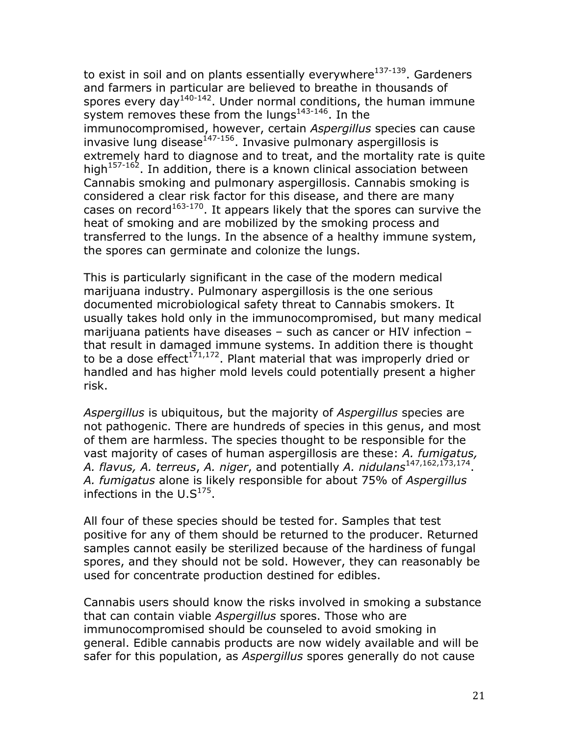to exist in soil and on plants essentially everywhere $137-139$ . Gardeners and farmers in particular are believed to breathe in thousands of spores every day<sup>140-142</sup>. Under normal conditions, the human immune system removes these from the lungs $143-146$ . In the immunocompromised, however, certain *Aspergillus* species can cause invasive lung disease $147-156$ . Invasive pulmonary aspergillosis is extremely hard to diagnose and to treat, and the mortality rate is quite high $157-162$ . In addition, there is a known clinical association between Cannabis smoking and pulmonary aspergillosis. Cannabis smoking is considered a clear risk factor for this disease, and there are many cases on record<sup>163-170</sup>. It appears likely that the spores can survive the heat of smoking and are mobilized by the smoking process and transferred to the lungs. In the absence of a healthy immune system, the spores can germinate and colonize the lungs.

This is particularly significant in the case of the modern medical marijuana industry. Pulmonary aspergillosis is the one serious documented microbiological safety threat to Cannabis smokers. It usually takes hold only in the immunocompromised, but many medical marijuana patients have diseases – such as cancer or HIV infection – that result in damaged immune systems. In addition there is thought to be a dose effect<sup>171,172</sup>. Plant material that was improperly dried or handled and has higher mold levels could potentially present a higher risk.

*Aspergillus* is ubiquitous, but the majority of *Aspergillus* species are not pathogenic. There are hundreds of species in this genus, and most of them are harmless. The species thought to be responsible for the vast majority of cases of human aspergillosis are these: *A. fumigatus, A. flavus, A. terreus*, *A. niger*, and potentially *A. nidulans*147,162,173,174. *A. fumigatus* alone is likely responsible for about 75% of *Aspergillus* infections in the  $U.S^{175}$ .

All four of these species should be tested for. Samples that test positive for any of them should be returned to the producer. Returned samples cannot easily be sterilized because of the hardiness of fungal spores, and they should not be sold. However, they can reasonably be used for concentrate production destined for edibles.

Cannabis users should know the risks involved in smoking a substance that can contain viable *Aspergillus* spores. Those who are immunocompromised should be counseled to avoid smoking in general. Edible cannabis products are now widely available and will be safer for this population, as *Aspergillus* spores generally do not cause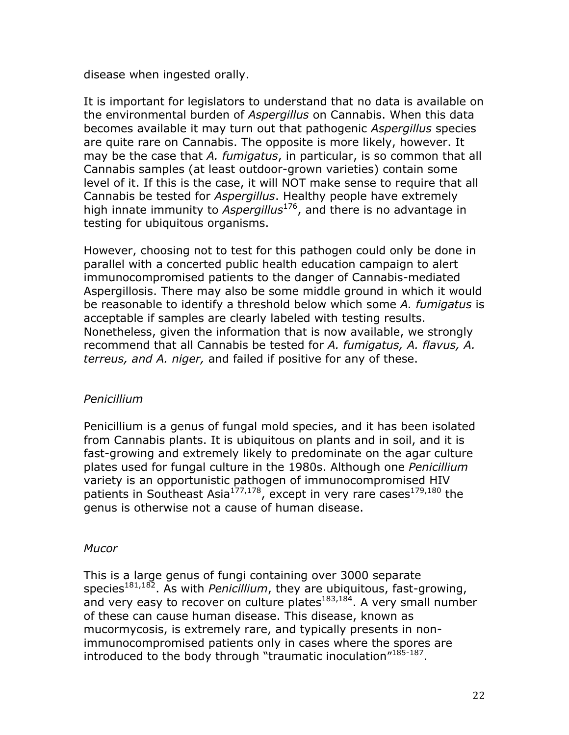disease when ingested orally.

It is important for legislators to understand that no data is available on the environmental burden of *Aspergillus* on Cannabis. When this data becomes available it may turn out that pathogenic *Aspergillus* species are quite rare on Cannabis. The opposite is more likely, however. It may be the case that *A. fumigatus*, in particular, is so common that all Cannabis samples (at least outdoor-grown varieties) contain some level of it. If this is the case, it will NOT make sense to require that all Cannabis be tested for *Aspergillus*. Healthy people have extremely high innate immunity to *Aspergillus*176, and there is no advantage in testing for ubiquitous organisms.

However, choosing not to test for this pathogen could only be done in parallel with a concerted public health education campaign to alert immunocompromised patients to the danger of Cannabis-mediated Aspergillosis. There may also be some middle ground in which it would be reasonable to identify a threshold below which some *A. fumigatus* is acceptable if samples are clearly labeled with testing results. Nonetheless, given the information that is now available, we strongly recommend that all Cannabis be tested for *A. fumigatus, A. flavus, A. terreus, and A. niger,* and failed if positive for any of these.

#### *Penicillium*

Penicillium is a genus of fungal mold species, and it has been isolated from Cannabis plants. It is ubiquitous on plants and in soil, and it is fast-growing and extremely likely to predominate on the agar culture plates used for fungal culture in the 1980s. Although one *Penicillium* variety is an opportunistic pathogen of immunocompromised HIV patients in Southeast Asia<sup>177,178</sup>, except in very rare cases<sup>179,180</sup> the genus is otherwise not a cause of human disease.

## *Mucor*

This is a large genus of fungi containing over 3000 separate species<sup>181,182</sup>. As with *Penicillium*, they are ubiquitous, fast-growing, and very easy to recover on culture plates $183,184$ . A very small number of these can cause human disease. This disease, known as mucormycosis, is extremely rare, and typically presents in nonimmunocompromised patients only in cases where the spores are introduced to the body through "traumatic inoculation"<sup>185-187</sup>.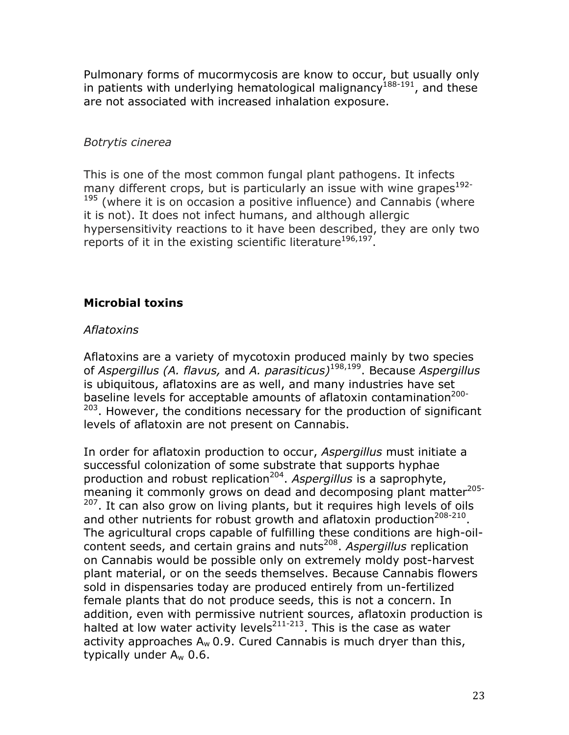Pulmonary forms of mucormycosis are know to occur, but usually only in patients with underlying hematological malignancy<sup>188-191</sup>, and these are not associated with increased inhalation exposure.

#### *Botrytis cinerea*

This is one of the most common fungal plant pathogens. It infects many different crops, but is particularly an issue with wine grapes<sup>192-</sup>  $195$  (where it is on occasion a positive influence) and Cannabis (where it is not). It does not infect humans, and although allergic hypersensitivity reactions to it have been described, they are only two reports of it in the existing scientific literature<sup>196,197</sup>.

## **Microbial toxins**

## *Aflatoxins*

Aflatoxins are a variety of mycotoxin produced mainly by two species of *Aspergillus (A. flavus,* and *A. parasiticus)*198,199. Because *Aspergillus* is ubiquitous, aflatoxins are as well, and many industries have set baseline levels for acceptable amounts of aflatoxin contamination<sup>200-</sup>  $203$ . However, the conditions necessary for the production of significant levels of aflatoxin are not present on Cannabis.

In order for aflatoxin production to occur, *Aspergillus* must initiate a successful colonization of some substrate that supports hyphae production and robust replication204. *Aspergillus* is a saprophyte, meaning it commonly grows on dead and decomposing plant matter<sup>205-</sup> <sup>207</sup>. It can also grow on living plants, but it requires high levels of oils and other nutrients for robust growth and aflatoxin production<sup>208-210</sup>. The agricultural crops capable of fulfilling these conditions are high-oilcontent seeds, and certain grains and nuts<sup>208</sup>. Aspergillus replication on Cannabis would be possible only on extremely moldy post-harvest plant material, or on the seeds themselves. Because Cannabis flowers sold in dispensaries today are produced entirely from un-fertilized female plants that do not produce seeds, this is not a concern. In addition, even with permissive nutrient sources, aflatoxin production is halted at low water activity levels $^{211-213}$ . This is the case as water activity approaches  $A_w$  0.9. Cured Cannabis is much dryer than this, typically under  $A_w$  0.6.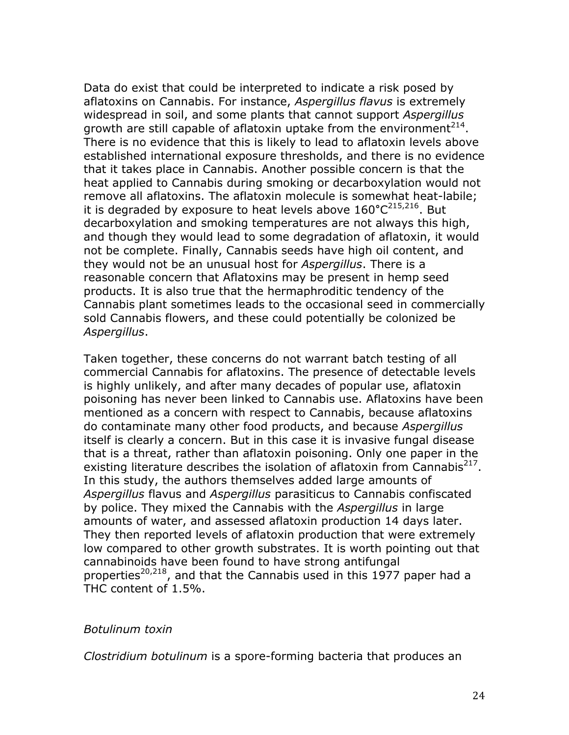Data do exist that could be interpreted to indicate a risk posed by aflatoxins on Cannabis. For instance, *Aspergillus flavus* is extremely widespread in soil, and some plants that cannot support *Aspergillus* growth are still capable of aflatoxin uptake from the environment $^{214}$ . There is no evidence that this is likely to lead to aflatoxin levels above established international exposure thresholds, and there is no evidence that it takes place in Cannabis. Another possible concern is that the heat applied to Cannabis during smoking or decarboxylation would not remove all aflatoxins. The aflatoxin molecule is somewhat heat-labile; it is degraded by exposure to heat levels above 160°C<sup>215,216</sup>. But decarboxylation and smoking temperatures are not always this high, and though they would lead to some degradation of aflatoxin, it would not be complete. Finally, Cannabis seeds have high oil content, and they would not be an unusual host for *Aspergillus*. There is a reasonable concern that Aflatoxins may be present in hemp seed products. It is also true that the hermaphroditic tendency of the Cannabis plant sometimes leads to the occasional seed in commercially sold Cannabis flowers, and these could potentially be colonized be *Aspergillus*.

Taken together, these concerns do not warrant batch testing of all commercial Cannabis for aflatoxins. The presence of detectable levels is highly unlikely, and after many decades of popular use, aflatoxin poisoning has never been linked to Cannabis use. Aflatoxins have been mentioned as a concern with respect to Cannabis, because aflatoxins do contaminate many other food products, and because *Aspergillus*  itself is clearly a concern. But in this case it is invasive fungal disease that is a threat, rather than aflatoxin poisoning. Only one paper in the existing literature describes the isolation of aflatoxin from Cannabis<sup>217</sup>. In this study, the authors themselves added large amounts of *Aspergillus* flavus and *Aspergillus* parasiticus to Cannabis confiscated by police. They mixed the Cannabis with the *Aspergillus* in large amounts of water, and assessed aflatoxin production 14 days later. They then reported levels of aflatoxin production that were extremely low compared to other growth substrates. It is worth pointing out that cannabinoids have been found to have strong antifungal properties<sup>20,218</sup>, and that the Cannabis used in this 1977 paper had a THC content of 1.5%.

#### *Botulinum toxin*

*Clostridium botulinum* is a spore-forming bacteria that produces an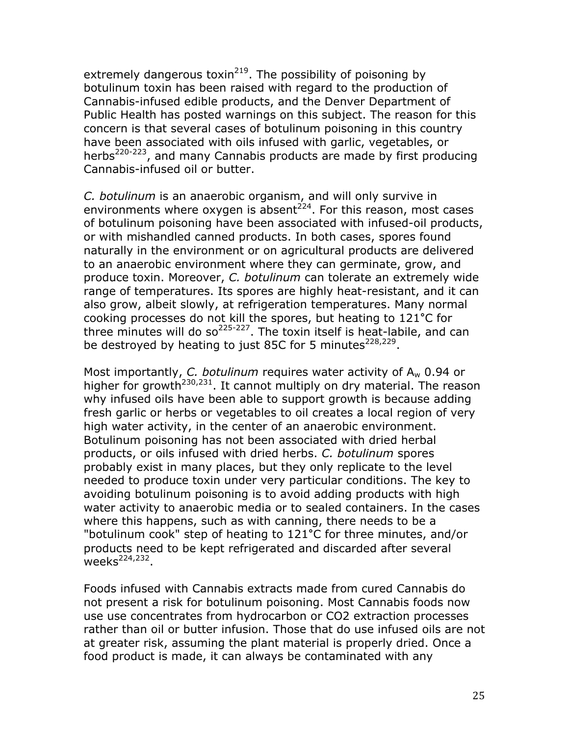extremely dangerous toxin<sup>219</sup>. The possibility of poisoning by botulinum toxin has been raised with regard to the production of Cannabis-infused edible products, and the Denver Department of Public Health has posted warnings on this subject. The reason for this concern is that several cases of botulinum poisoning in this country have been associated with oils infused with garlic, vegetables, or herbs<sup>220-223</sup>, and many Cannabis products are made by first producing Cannabis-infused oil or butter.

*C. botulinum* is an anaerobic organism, and will only survive in environments where oxygen is absent<sup>224</sup>. For this reason, most cases of botulinum poisoning have been associated with infused-oil products, or with mishandled canned products. In both cases, spores found naturally in the environment or on agricultural products are delivered to an anaerobic environment where they can germinate, grow, and produce toxin. Moreover, *C. botulinum* can tolerate an extremely wide range of temperatures. Its spores are highly heat-resistant, and it can also grow, albeit slowly, at refrigeration temperatures. Many normal cooking processes do not kill the spores, but heating to 121**°**C for three minutes will do so<sup>225-227</sup>. The toxin itself is heat-labile, and can be destroyed by heating to just 85C for 5 minutes $228,229$ .

Most importantly, *C. botulinum* requires water activity of Aw 0.94 or higher for growth<sup>230,231</sup>. It cannot multiply on dry material. The reason why infused oils have been able to support growth is because adding fresh garlic or herbs or vegetables to oil creates a local region of very high water activity, in the center of an anaerobic environment. Botulinum poisoning has not been associated with dried herbal products, or oils infused with dried herbs. *C. botulinum* spores probably exist in many places, but they only replicate to the level needed to produce toxin under very particular conditions. The key to avoiding botulinum poisoning is to avoid adding products with high water activity to anaerobic media or to sealed containers. In the cases where this happens, such as with canning, there needs to be a "botulinum cook" step of heating to 121**°**C for three minutes, and/or products need to be kept refrigerated and discarded after several weeks $^{224,232}$ .

Foods infused with Cannabis extracts made from cured Cannabis do not present a risk for botulinum poisoning. Most Cannabis foods now use use concentrates from hydrocarbon or CO2 extraction processes rather than oil or butter infusion. Those that do use infused oils are not at greater risk, assuming the plant material is properly dried. Once a food product is made, it can always be contaminated with any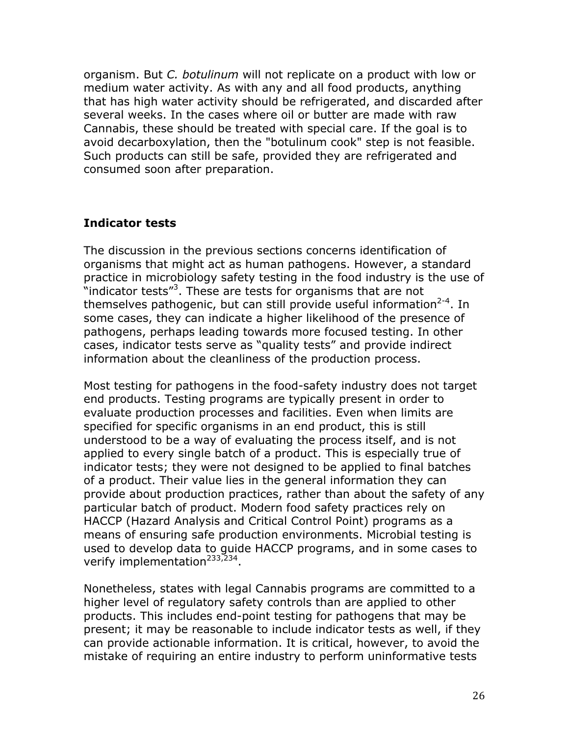organism. But *C. botulinum* will not replicate on a product with low or medium water activity. As with any and all food products, anything that has high water activity should be refrigerated, and discarded after several weeks. In the cases where oil or butter are made with raw Cannabis, these should be treated with special care. If the goal is to avoid decarboxylation, then the "botulinum cook" step is not feasible. Such products can still be safe, provided they are refrigerated and consumed soon after preparation.

#### **Indicator tests**

The discussion in the previous sections concerns identification of organisms that might act as human pathogens. However, a standard practice in microbiology safety testing in the food industry is the use of "indicator tests"<sup>3</sup>. These are tests for organisms that are not themselves pathogenic, but can still provide useful information<sup>2-4</sup>. In some cases, they can indicate a higher likelihood of the presence of pathogens, perhaps leading towards more focused testing. In other cases, indicator tests serve as "quality tests" and provide indirect information about the cleanliness of the production process.

Most testing for pathogens in the food-safety industry does not target end products. Testing programs are typically present in order to evaluate production processes and facilities. Even when limits are specified for specific organisms in an end product, this is still understood to be a way of evaluating the process itself, and is not applied to every single batch of a product. This is especially true of indicator tests; they were not designed to be applied to final batches of a product. Their value lies in the general information they can provide about production practices, rather than about the safety of any particular batch of product. Modern food safety practices rely on HACCP (Hazard Analysis and Critical Control Point) programs as a means of ensuring safe production environments. Microbial testing is used to develop data to guide HACCP programs, and in some cases to verify implementation<sup>233,234</sup>.

Nonetheless, states with legal Cannabis programs are committed to a higher level of regulatory safety controls than are applied to other products. This includes end-point testing for pathogens that may be present; it may be reasonable to include indicator tests as well, if they can provide actionable information. It is critical, however, to avoid the mistake of requiring an entire industry to perform uninformative tests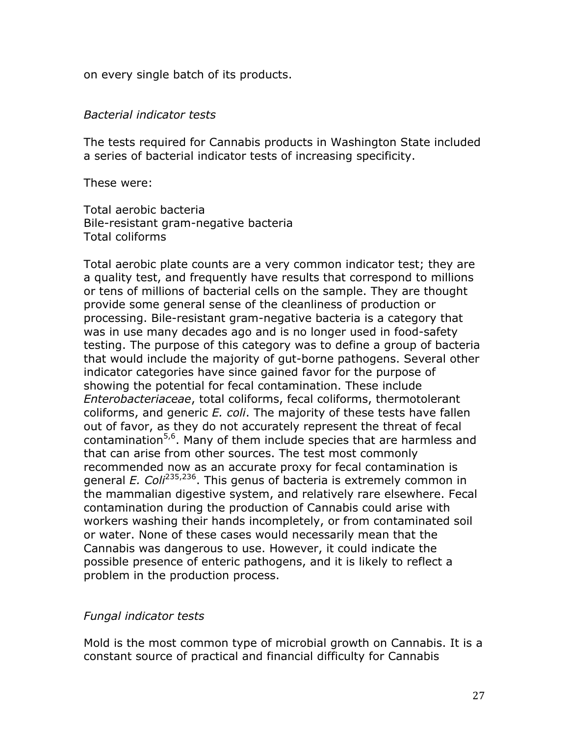on every single batch of its products.

#### *Bacterial indicator tests*

The tests required for Cannabis products in Washington State included a series of bacterial indicator tests of increasing specificity.

These were:

Total aerobic bacteria Bile-resistant gram-negative bacteria Total coliforms

Total aerobic plate counts are a very common indicator test; they are a quality test, and frequently have results that correspond to millions or tens of millions of bacterial cells on the sample. They are thought provide some general sense of the cleanliness of production or processing. Bile-resistant gram-negative bacteria is a category that was in use many decades ago and is no longer used in food-safety testing. The purpose of this category was to define a group of bacteria that would include the majority of gut-borne pathogens. Several other indicator categories have since gained favor for the purpose of showing the potential for fecal contamination. These include *Enterobacteriaceae*, total coliforms, fecal coliforms, thermotolerant coliforms, and generic *E. coli*. The majority of these tests have fallen out of favor, as they do not accurately represent the threat of fecal contamination<sup>5,6</sup>. Many of them include species that are harmless and that can arise from other sources. The test most commonly recommended now as an accurate proxy for fecal contamination is general *E. Coli*235,236. This genus of bacteria is extremely common in the mammalian digestive system, and relatively rare elsewhere. Fecal contamination during the production of Cannabis could arise with workers washing their hands incompletely, or from contaminated soil or water. None of these cases would necessarily mean that the Cannabis was dangerous to use. However, it could indicate the possible presence of enteric pathogens, and it is likely to reflect a problem in the production process.

#### *Fungal indicator tests*

Mold is the most common type of microbial growth on Cannabis. It is a constant source of practical and financial difficulty for Cannabis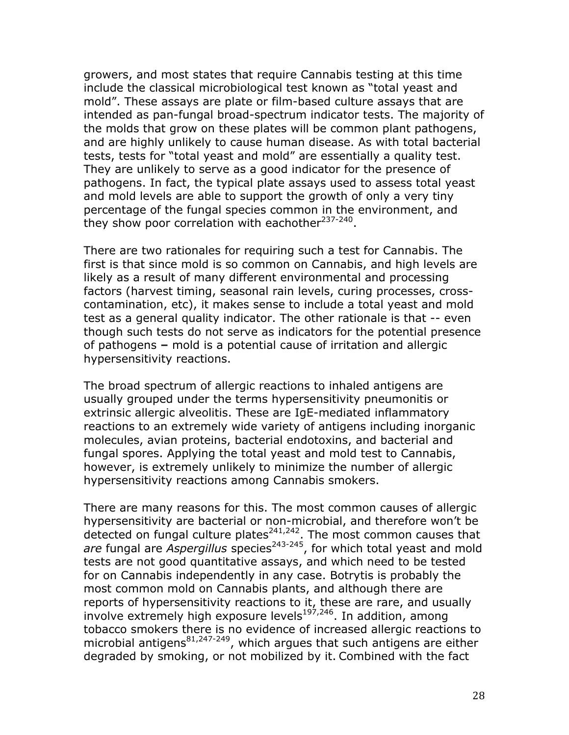growers, and most states that require Cannabis testing at this time include the classical microbiological test known as "total yeast and mold". These assays are plate or film-based culture assays that are intended as pan-fungal broad-spectrum indicator tests. The majority of the molds that grow on these plates will be common plant pathogens, and are highly unlikely to cause human disease. As with total bacterial tests, tests for "total yeast and mold" are essentially a quality test. They are unlikely to serve as a good indicator for the presence of pathogens. In fact, the typical plate assays used to assess total yeast and mold levels are able to support the growth of only a very tiny percentage of the fungal species common in the environment, and they show poor correlation with eachother $237-240$ .

There are two rationales for requiring such a test for Cannabis. The first is that since mold is so common on Cannabis, and high levels are likely as a result of many different environmental and processing factors (harvest timing, seasonal rain levels, curing processes, crosscontamination, etc), it makes sense to include a total yeast and mold test as a general quality indicator. The other rationale is that -- even though such tests do not serve as indicators for the potential presence of pathogens **–** mold is a potential cause of irritation and allergic hypersensitivity reactions.

The broad spectrum of allergic reactions to inhaled antigens are usually grouped under the terms hypersensitivity pneumonitis or extrinsic allergic alveolitis. These are IgE-mediated inflammatory reactions to an extremely wide variety of antigens including inorganic molecules, avian proteins, bacterial endotoxins, and bacterial and fungal spores. Applying the total yeast and mold test to Cannabis, however, is extremely unlikely to minimize the number of allergic hypersensitivity reactions among Cannabis smokers.

There are many reasons for this. The most common causes of allergic hypersensitivity are bacterial or non-microbial, and therefore won't be detected on fungal culture plates<sup>241,242</sup>. The most common causes that are fungal are *Aspergillus* species<sup>243-245</sup>, for which total yeast and mold tests are not good quantitative assays, and which need to be tested for on Cannabis independently in any case. Botrytis is probably the most common mold on Cannabis plants, and although there are reports of hypersensitivity reactions to it, these are rare, and usually involve extremely high exposure levels<sup>197,246</sup>. In addition, among tobacco smokers there is no evidence of increased allergic reactions to microbial antigens $81,247-249$ , which argues that such antigens are either degraded by smoking, or not mobilized by it. Combined with the fact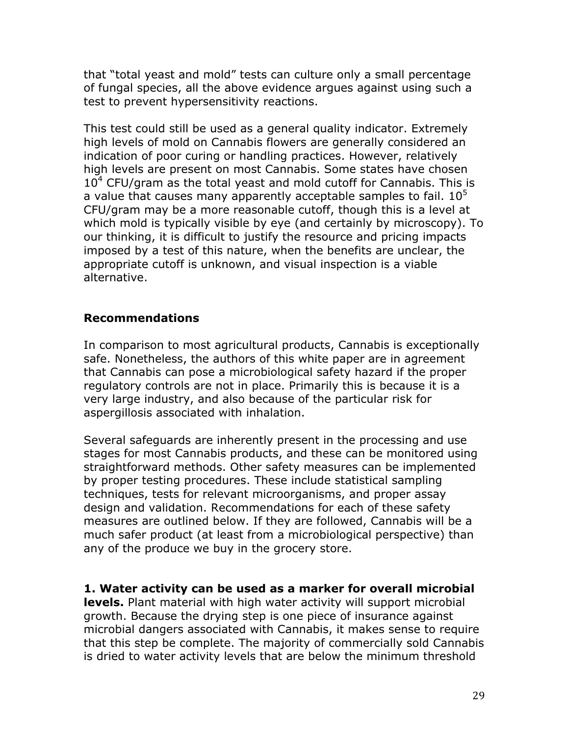that "total yeast and mold" tests can culture only a small percentage of fungal species, all the above evidence argues against using such a test to prevent hypersensitivity reactions.

This test could still be used as a general quality indicator. Extremely high levels of mold on Cannabis flowers are generally considered an indication of poor curing or handling practices. However, relatively high levels are present on most Cannabis. Some states have chosen  $10<sup>4</sup>$  CFU/gram as the total yeast and mold cutoff for Cannabis. This is a value that causes many apparently acceptable samples to fail.  $10^5$ CFU/gram may be a more reasonable cutoff, though this is a level at which mold is typically visible by eye (and certainly by microscopy). To our thinking, it is difficult to justify the resource and pricing impacts imposed by a test of this nature, when the benefits are unclear, the appropriate cutoff is unknown, and visual inspection is a viable alternative.

## **Recommendations**

In comparison to most agricultural products, Cannabis is exceptionally safe. Nonetheless, the authors of this white paper are in agreement that Cannabis can pose a microbiological safety hazard if the proper regulatory controls are not in place. Primarily this is because it is a very large industry, and also because of the particular risk for aspergillosis associated with inhalation.

Several safeguards are inherently present in the processing and use stages for most Cannabis products, and these can be monitored using straightforward methods. Other safety measures can be implemented by proper testing procedures. These include statistical sampling techniques, tests for relevant microorganisms, and proper assay design and validation. Recommendations for each of these safety measures are outlined below. If they are followed, Cannabis will be a much safer product (at least from a microbiological perspective) than any of the produce we buy in the grocery store.

**1. Water activity can be used as a marker for overall microbial levels.** Plant material with high water activity will support microbial growth. Because the drying step is one piece of insurance against microbial dangers associated with Cannabis, it makes sense to require that this step be complete. The majority of commercially sold Cannabis is dried to water activity levels that are below the minimum threshold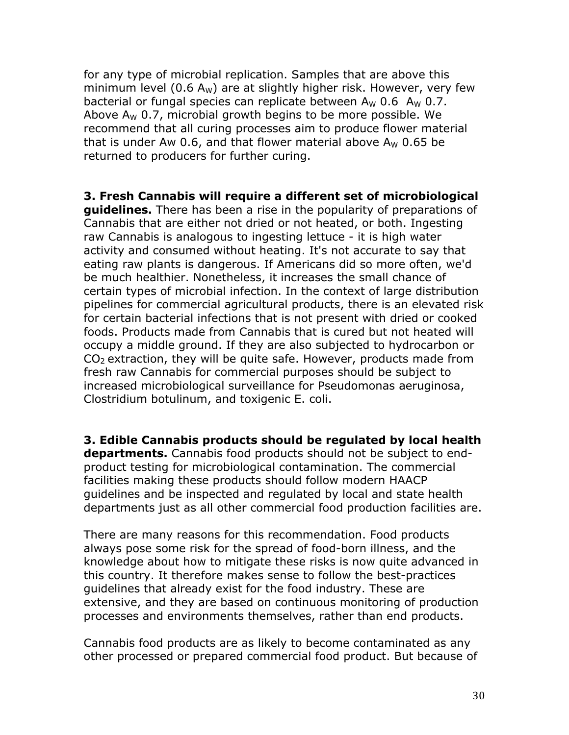for any type of microbial replication. Samples that are above this minimum level (0.6 A<sub>W</sub>) are at slightly higher risk. However, very few bacterial or fungal species can replicate between  $A_W$  0.6  $A_W$  0.7. Above  $A_W$  0.7, microbial growth begins to be more possible. We recommend that all curing processes aim to produce flower material that is under Aw 0.6, and that flower material above  $A_W$  0.65 be returned to producers for further curing.

**3. Fresh Cannabis will require a different set of microbiological guidelines.** There has been a rise in the popularity of preparations of Cannabis that are either not dried or not heated, or both. Ingesting raw Cannabis is analogous to ingesting lettuce - it is high water activity and consumed without heating. It's not accurate to say that eating raw plants is dangerous. If Americans did so more often, we'd be much healthier. Nonetheless, it increases the small chance of certain types of microbial infection. In the context of large distribution pipelines for commercial agricultural products, there is an elevated risk for certain bacterial infections that is not present with dried or cooked foods. Products made from Cannabis that is cured but not heated will occupy a middle ground. If they are also subjected to hydrocarbon or  $CO<sub>2</sub>$  extraction, they will be quite safe. However, products made from fresh raw Cannabis for commercial purposes should be subject to increased microbiological surveillance for Pseudomonas aeruginosa, Clostridium botulinum, and toxigenic E. coli.

**3. Edible Cannabis products should be regulated by local health departments.** Cannabis food products should not be subject to endproduct testing for microbiological contamination. The commercial facilities making these products should follow modern HAACP guidelines and be inspected and regulated by local and state health departments just as all other commercial food production facilities are.

There are many reasons for this recommendation. Food products always pose some risk for the spread of food-born illness, and the knowledge about how to mitigate these risks is now quite advanced in this country. It therefore makes sense to follow the best-practices guidelines that already exist for the food industry. These are extensive, and they are based on continuous monitoring of production processes and environments themselves, rather than end products.

Cannabis food products are as likely to become contaminated as any other processed or prepared commercial food product. But because of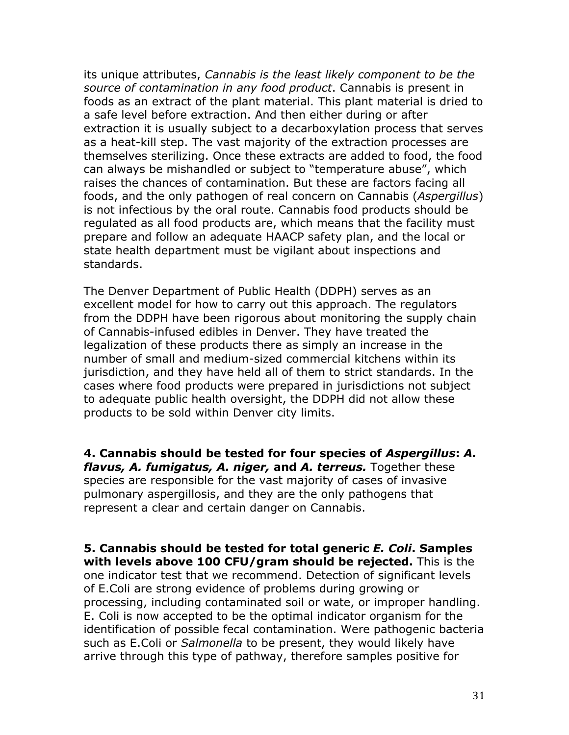its unique attributes, *Cannabis is the least likely component to be the source of contamination in any food product*. Cannabis is present in foods as an extract of the plant material. This plant material is dried to a safe level before extraction. And then either during or after extraction it is usually subject to a decarboxylation process that serves as a heat-kill step. The vast majority of the extraction processes are themselves sterilizing. Once these extracts are added to food, the food can always be mishandled or subject to "temperature abuse", which raises the chances of contamination. But these are factors facing all foods, and the only pathogen of real concern on Cannabis (*Aspergillus*) is not infectious by the oral route. Cannabis food products should be regulated as all food products are, which means that the facility must prepare and follow an adequate HAACP safety plan, and the local or state health department must be vigilant about inspections and standards.

The Denver Department of Public Health (DDPH) serves as an excellent model for how to carry out this approach. The regulators from the DDPH have been rigorous about monitoring the supply chain of Cannabis-infused edibles in Denver. They have treated the legalization of these products there as simply an increase in the number of small and medium-sized commercial kitchens within its jurisdiction, and they have held all of them to strict standards. In the cases where food products were prepared in jurisdictions not subject to adequate public health oversight, the DDPH did not allow these products to be sold within Denver city limits.

**4. Cannabis should be tested for four species of** *Aspergillus***:** *A. flavus, A. fumigatus, A. niger,* **and** *A. terreus.* Together these species are responsible for the vast majority of cases of invasive pulmonary aspergillosis, and they are the only pathogens that represent a clear and certain danger on Cannabis.

**5. Cannabis should be tested for total generic** *E. Coli***. Samples with levels above 100 CFU/gram should be rejected.** This is the one indicator test that we recommend. Detection of significant levels of E.Coli are strong evidence of problems during growing or processing, including contaminated soil or wate, or improper handling. E. Coli is now accepted to be the optimal indicator organism for the identification of possible fecal contamination. Were pathogenic bacteria such as E.Coli or *Salmonella* to be present, they would likely have arrive through this type of pathway, therefore samples positive for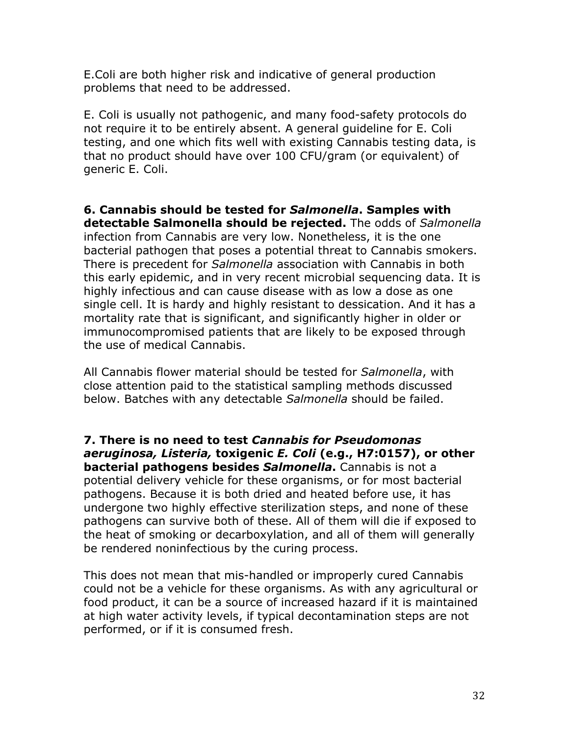E.Coli are both higher risk and indicative of general production problems that need to be addressed.

E. Coli is usually not pathogenic, and many food-safety protocols do not require it to be entirely absent. A general guideline for E. Coli testing, and one which fits well with existing Cannabis testing data, is that no product should have over 100 CFU/gram (or equivalent) of generic E. Coli.

**6. Cannabis should be tested for** *Salmonella***. Samples with detectable Salmonella should be rejected.** The odds of *Salmonella* infection from Cannabis are very low. Nonetheless, it is the one bacterial pathogen that poses a potential threat to Cannabis smokers. There is precedent for *Salmonella* association with Cannabis in both this early epidemic, and in very recent microbial sequencing data. It is highly infectious and can cause disease with as low a dose as one single cell. It is hardy and highly resistant to dessication. And it has a mortality rate that is significant, and significantly higher in older or immunocompromised patients that are likely to be exposed through the use of medical Cannabis.

All Cannabis flower material should be tested for *Salmonella*, with close attention paid to the statistical sampling methods discussed below. Batches with any detectable *Salmonella* should be failed.

**7. There is no need to test** *Cannabis for Pseudomonas aeruginosa, Listeria,* **toxigenic** *E. Coli* **(e.g., H7:0157), or other bacterial pathogens besides** *Salmonella***.** Cannabis is not a potential delivery vehicle for these organisms, or for most bacterial pathogens. Because it is both dried and heated before use, it has undergone two highly effective sterilization steps, and none of these pathogens can survive both of these. All of them will die if exposed to the heat of smoking or decarboxylation, and all of them will generally be rendered noninfectious by the curing process.

This does not mean that mis-handled or improperly cured Cannabis could not be a vehicle for these organisms. As with any agricultural or food product, it can be a source of increased hazard if it is maintained at high water activity levels, if typical decontamination steps are not performed, or if it is consumed fresh.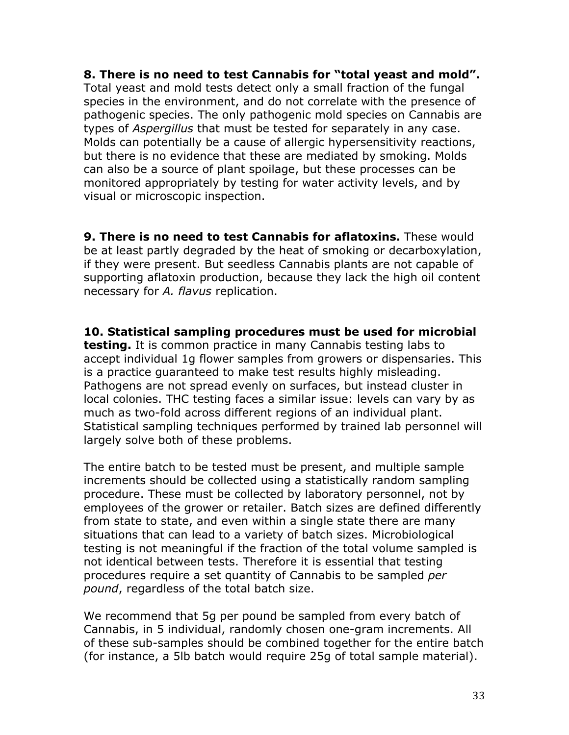**8. There is no need to test Cannabis for "total yeast and mold".** Total yeast and mold tests detect only a small fraction of the fungal species in the environment, and do not correlate with the presence of pathogenic species. The only pathogenic mold species on Cannabis are types of *Aspergillus* that must be tested for separately in any case. Molds can potentially be a cause of allergic hypersensitivity reactions, but there is no evidence that these are mediated by smoking. Molds can also be a source of plant spoilage, but these processes can be monitored appropriately by testing for water activity levels, and by visual or microscopic inspection.

**9. There is no need to test Cannabis for aflatoxins.** These would be at least partly degraded by the heat of smoking or decarboxylation, if they were present. But seedless Cannabis plants are not capable of supporting aflatoxin production, because they lack the high oil content necessary for *A. flavus* replication.

**10. Statistical sampling procedures must be used for microbial testing.** It is common practice in many Cannabis testing labs to accept individual 1g flower samples from growers or dispensaries. This is a practice guaranteed to make test results highly misleading. Pathogens are not spread evenly on surfaces, but instead cluster in local colonies. THC testing faces a similar issue: levels can vary by as much as two-fold across different regions of an individual plant. Statistical sampling techniques performed by trained lab personnel will largely solve both of these problems.

The entire batch to be tested must be present, and multiple sample increments should be collected using a statistically random sampling procedure. These must be collected by laboratory personnel, not by employees of the grower or retailer. Batch sizes are defined differently from state to state, and even within a single state there are many situations that can lead to a variety of batch sizes. Microbiological testing is not meaningful if the fraction of the total volume sampled is not identical between tests. Therefore it is essential that testing procedures require a set quantity of Cannabis to be sampled *per pound*, regardless of the total batch size.

We recommend that 5g per pound be sampled from every batch of Cannabis, in 5 individual, randomly chosen one-gram increments. All of these sub-samples should be combined together for the entire batch (for instance, a 5lb batch would require 25g of total sample material).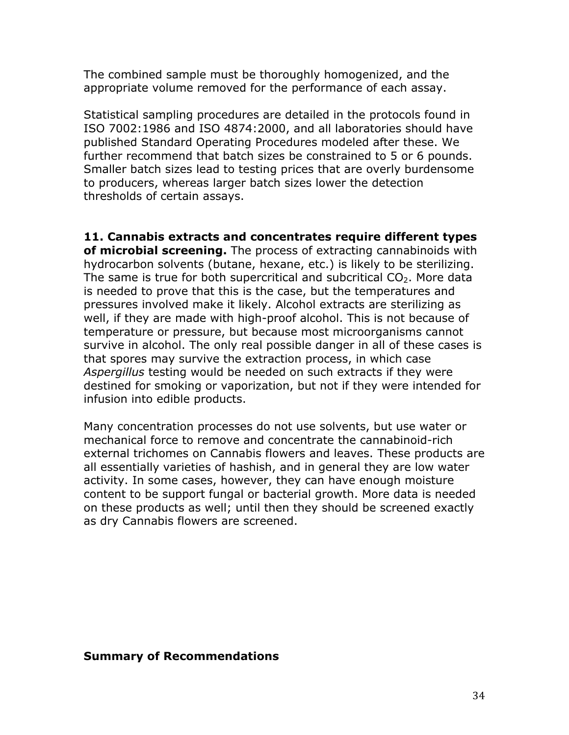The combined sample must be thoroughly homogenized, and the appropriate volume removed for the performance of each assay.

Statistical sampling procedures are detailed in the protocols found in ISO 7002:1986 and ISO 4874:2000, and all laboratories should have published Standard Operating Procedures modeled after these. We further recommend that batch sizes be constrained to 5 or 6 pounds. Smaller batch sizes lead to testing prices that are overly burdensome to producers, whereas larger batch sizes lower the detection thresholds of certain assays.

**11. Cannabis extracts and concentrates require different types of microbial screening.** The process of extracting cannabinoids with hydrocarbon solvents (butane, hexane, etc.) is likely to be sterilizing. The same is true for both supercritical and subcritical  $CO<sub>2</sub>$ . More data is needed to prove that this is the case, but the temperatures and pressures involved make it likely. Alcohol extracts are sterilizing as well, if they are made with high-proof alcohol. This is not because of temperature or pressure, but because most microorganisms cannot survive in alcohol. The only real possible danger in all of these cases is that spores may survive the extraction process, in which case *Aspergillus* testing would be needed on such extracts if they were destined for smoking or vaporization, but not if they were intended for infusion into edible products.

Many concentration processes do not use solvents, but use water or mechanical force to remove and concentrate the cannabinoid-rich external trichomes on Cannabis flowers and leaves. These products are all essentially varieties of hashish, and in general they are low water activity. In some cases, however, they can have enough moisture content to be support fungal or bacterial growth. More data is needed on these products as well; until then they should be screened exactly as dry Cannabis flowers are screened.

#### **Summary of Recommendations**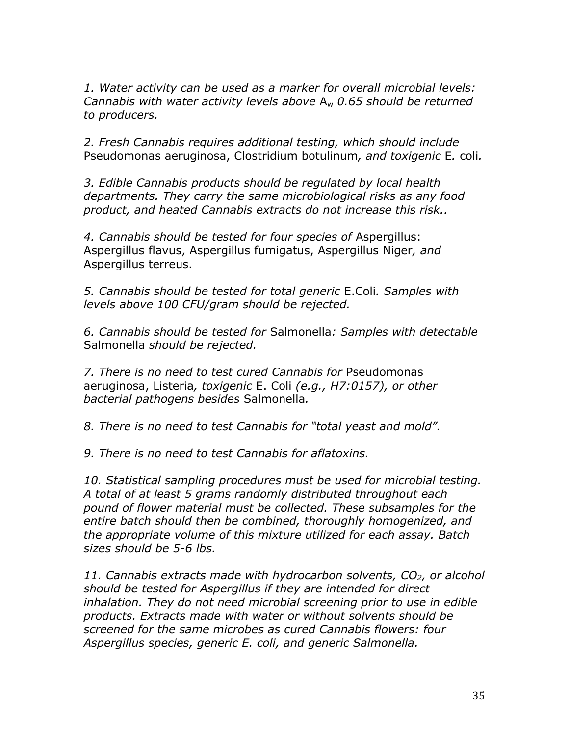*1. Water activity can be used as a marker for overall microbial levels: Cannabis with water activity levels above* Aw *0.65 should be returned to producers.*

*2. Fresh Cannabis requires additional testing, which should include*  Pseudomonas aeruginosa, Clostridium botulinum*, and toxigenic* E*.* coli*.*

*3. Edible Cannabis products should be regulated by local health departments. They carry the same microbiological risks as any food product, and heated Cannabis extracts do not increase this risk..*

*4. Cannabis should be tested for four species of* Aspergillus: Aspergillus flavus, Aspergillus fumigatus, Aspergillus Niger*, and*  Aspergillus terreus.

*5. Cannabis should be tested for total generic* E.Coli*. Samples with levels above 100 CFU/gram should be rejected.*

*6. Cannabis should be tested for* Salmonella*: Samples with detectable* Salmonella *should be rejected.*

*7. There is no need to test cured Cannabis for* Pseudomonas aeruginosa, Listeria*, toxigenic* E. Coli *(e.g., H7:0157), or other bacterial pathogens besides* Salmonella*.*

*8. There is no need to test Cannabis for "total yeast and mold".*

*9. There is no need to test Cannabis for aflatoxins.* 

*10. Statistical sampling procedures must be used for microbial testing. A total of at least 5 grams randomly distributed throughout each pound of flower material must be collected. These subsamples for the entire batch should then be combined, thoroughly homogenized, and the appropriate volume of this mixture utilized for each assay. Batch sizes should be 5-6 lbs.*

*11. Cannabis extracts made with hydrocarbon solvents, CO2, or alcohol should be tested for Aspergillus if they are intended for direct inhalation. They do not need microbial screening prior to use in edible products. Extracts made with water or without solvents should be screened for the same microbes as cured Cannabis flowers: four Aspergillus species, generic E. coli, and generic Salmonella.*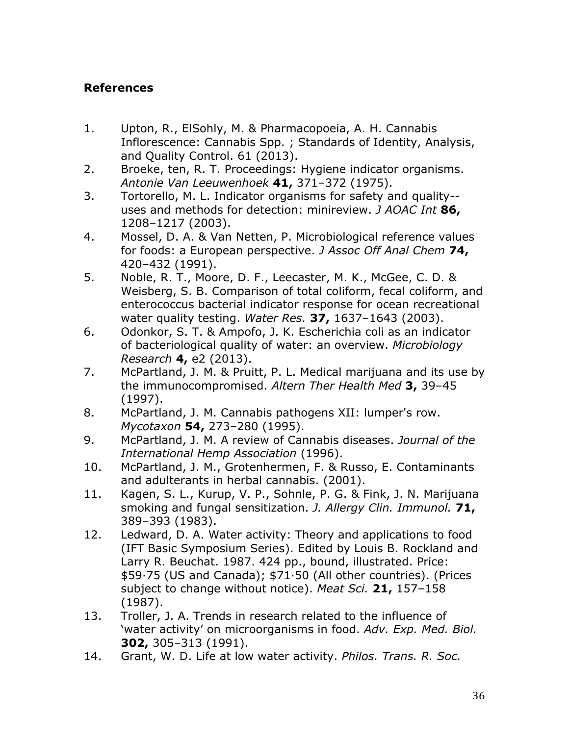## **References**

- 1. Upton, R., ElSohly, M. & Pharmacopoeia, A. H. Cannabis Inflorescence: Cannabis Spp. ; Standards of Identity, Analysis, and Quality Control. 61 (2013).
- 2. Broeke, ten, R. T. Proceedings: Hygiene indicator organisms. *Antonie Van Leeuwenhoek* **41,** 371–372 (1975).
- 3. Tortorello, M. L. Indicator organisms for safety and quality- uses and methods for detection: minireview. *J AOAC Int* **86,** 1208–1217 (2003).
- 4. Mossel, D. A. & Van Netten, P. Microbiological reference values for foods: a European perspective. *J Assoc Off Anal Chem* **74,** 420–432 (1991).
- 5. Noble, R. T., Moore, D. F., Leecaster, M. K., McGee, C. D. & Weisberg, S. B. Comparison of total coliform, fecal coliform, and enterococcus bacterial indicator response for ocean recreational water quality testing. *Water Res.* **37,** 1637–1643 (2003).
- 6. Odonkor, S. T. & Ampofo, J. K. Escherichia coli as an indicator of bacteriological quality of water: an overview. *Microbiology Research* **4,** e2 (2013).
- 7. McPartland, J. M. & Pruitt, P. L. Medical marijuana and its use by the immunocompromised. *Altern Ther Health Med* **3,** 39–45 (1997).
- 8. McPartland, J. M. Cannabis pathogens XII: lumper's row. *Mycotaxon* **54,** 273–280 (1995).
- 9. McPartland, J. M. A review of Cannabis diseases. *Journal of the International Hemp Association* (1996).
- 10. McPartland, J. M., Grotenhermen, F. & Russo, E. Contaminants and adulterants in herbal cannabis. (2001).
- 11. Kagen, S. L., Kurup, V. P., Sohnle, P. G. & Fink, J. N. Marijuana smoking and fungal sensitization. *J. Allergy Clin. Immunol.* **71,** 389–393 (1983).
- 12. Ledward, D. A. Water activity: Theory and applications to food (IFT Basic Symposium Series). Edited by Louis B. Rockland and Larry R. Beuchat. 1987. 424 pp., bound, illustrated. Price: \$59·75 (US and Canada); \$71·50 (All other countries). (Prices subject to change without notice). *Meat Sci.* **21,** 157–158 (1987).
- 13. Troller, J. A. Trends in research related to the influence of 'water activity' on microorganisms in food. *Adv. Exp. Med. Biol.* **302,** 305–313 (1991).
- 14. Grant, W. D. Life at low water activity. *Philos. Trans. R. Soc.*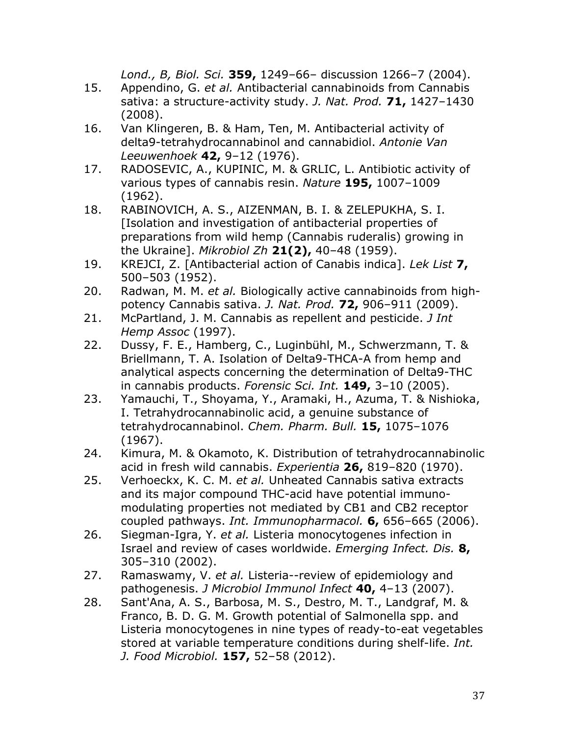*Lond., B, Biol. Sci.* **359,** 1249–66– discussion 1266–7 (2004).

- 15. Appendino, G. *et al.* Antibacterial cannabinoids from Cannabis sativa: a structure-activity study. *J. Nat. Prod.* **71,** 1427–1430 (2008).
- 16. Van Klingeren, B. & Ham, Ten, M. Antibacterial activity of delta9-tetrahydrocannabinol and cannabidiol. *Antonie Van Leeuwenhoek* **42,** 9–12 (1976).
- 17. RADOSEVIC, A., KUPINIC, M. & GRLIC, L. Antibiotic activity of various types of cannabis resin. *Nature* **195,** 1007–1009 (1962).
- 18. RABINOVICH, A. S., AIZENMAN, B. I. & ZELEPUKHA, S. I. [Isolation and investigation of antibacterial properties of preparations from wild hemp (Cannabis ruderalis) growing in the Ukraine]. *Mikrobiol Zh* **21(2),** 40–48 (1959).
- 19. KREJCI, Z. [Antibacterial action of Canabis indica]. *Lek List* **7,** 500–503 (1952).
- 20. Radwan, M. M. *et al.* Biologically active cannabinoids from highpotency Cannabis sativa. *J. Nat. Prod.* **72,** 906–911 (2009).
- 21. McPartland, J. M. Cannabis as repellent and pesticide. *J Int Hemp Assoc* (1997).
- 22. Dussy, F. E., Hamberg, C., Luginbühl, M., Schwerzmann, T. & Briellmann, T. A. Isolation of Delta9-THCA-A from hemp and analytical aspects concerning the determination of Delta9-THC in cannabis products. *Forensic Sci. Int.* **149,** 3–10 (2005).
- 23. Yamauchi, T., Shoyama, Y., Aramaki, H., Azuma, T. & Nishioka, I. Tetrahydrocannabinolic acid, a genuine substance of tetrahydrocannabinol. *Chem. Pharm. Bull.* **15,** 1075–1076 (1967).
- 24. Kimura, M. & Okamoto, K. Distribution of tetrahydrocannabinolic acid in fresh wild cannabis. *Experientia* **26,** 819–820 (1970).
- 25. Verhoeckx, K. C. M. *et al.* Unheated Cannabis sativa extracts and its major compound THC-acid have potential immunomodulating properties not mediated by CB1 and CB2 receptor coupled pathways. *Int. Immunopharmacol.* **6,** 656–665 (2006).
- 26. Siegman-Igra, Y. *et al.* Listeria monocytogenes infection in Israel and review of cases worldwide. *Emerging Infect. Dis.* **8,** 305–310 (2002).
- 27. Ramaswamy, V. *et al.* Listeria--review of epidemiology and pathogenesis. *J Microbiol Immunol Infect* **40,** 4–13 (2007).
- 28. Sant'Ana, A. S., Barbosa, M. S., Destro, M. T., Landgraf, M. & Franco, B. D. G. M. Growth potential of Salmonella spp. and Listeria monocytogenes in nine types of ready-to-eat vegetables stored at variable temperature conditions during shelf-life. *Int. J. Food Microbiol.* **157,** 52–58 (2012).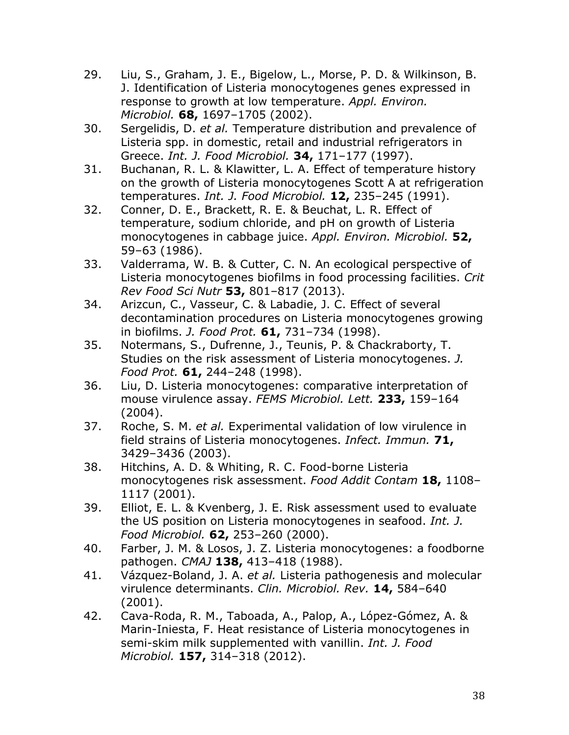- 29. Liu, S., Graham, J. E., Bigelow, L., Morse, P. D. & Wilkinson, B. J. Identification of Listeria monocytogenes genes expressed in response to growth at low temperature. *Appl. Environ. Microbiol.* **68,** 1697–1705 (2002).
- 30. Sergelidis, D. *et al.* Temperature distribution and prevalence of Listeria spp. in domestic, retail and industrial refrigerators in Greece. *Int. J. Food Microbiol.* **34,** 171–177 (1997).
- 31. Buchanan, R. L. & Klawitter, L. A. Effect of temperature history on the growth of Listeria monocytogenes Scott A at refrigeration temperatures. *Int. J. Food Microbiol.* **12,** 235–245 (1991).
- 32. Conner, D. E., Brackett, R. E. & Beuchat, L. R. Effect of temperature, sodium chloride, and pH on growth of Listeria monocytogenes in cabbage juice. *Appl. Environ. Microbiol.* **52,** 59–63 (1986).
- 33. Valderrama, W. B. & Cutter, C. N. An ecological perspective of Listeria monocytogenes biofilms in food processing facilities. *Crit Rev Food Sci Nutr* **53,** 801–817 (2013).
- 34. Arizcun, C., Vasseur, C. & Labadie, J. C. Effect of several decontamination procedures on Listeria monocytogenes growing in biofilms. *J. Food Prot.* **61,** 731–734 (1998).
- 35. Notermans, S., Dufrenne, J., Teunis, P. & Chackraborty, T. Studies on the risk assessment of Listeria monocytogenes. *J. Food Prot.* **61,** 244–248 (1998).
- 36. Liu, D. Listeria monocytogenes: comparative interpretation of mouse virulence assay. *FEMS Microbiol. Lett.* **233,** 159–164 (2004).
- 37. Roche, S. M. *et al.* Experimental validation of low virulence in field strains of Listeria monocytogenes. *Infect. Immun.* **71,** 3429–3436 (2003).
- 38. Hitchins, A. D. & Whiting, R. C. Food-borne Listeria monocytogenes risk assessment. *Food Addit Contam* **18,** 1108– 1117 (2001).
- 39. Elliot, E. L. & Kvenberg, J. E. Risk assessment used to evaluate the US position on Listeria monocytogenes in seafood. *Int. J. Food Microbiol.* **62,** 253–260 (2000).
- 40. Farber, J. M. & Losos, J. Z. Listeria monocytogenes: a foodborne pathogen. *CMAJ* **138,** 413–418 (1988).
- 41. Vázquez-Boland, J. A. *et al.* Listeria pathogenesis and molecular virulence determinants. *Clin. Microbiol. Rev.* **14,** 584–640 (2001).
- 42. Cava-Roda, R. M., Taboada, A., Palop, A., López-Gómez, A. & Marin-Iniesta, F. Heat resistance of Listeria monocytogenes in semi-skim milk supplemented with vanillin. *Int. J. Food Microbiol.* **157,** 314–318 (2012).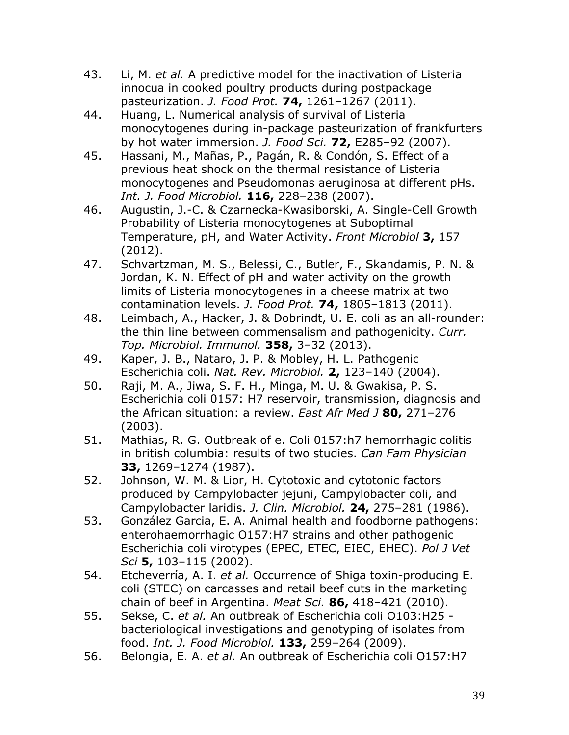- 43. Li, M. *et al.* A predictive model for the inactivation of Listeria innocua in cooked poultry products during postpackage pasteurization. *J. Food Prot.* **74,** 1261–1267 (2011).
- 44. Huang, L. Numerical analysis of survival of Listeria monocytogenes during in-package pasteurization of frankfurters by hot water immersion. *J. Food Sci.* **72,** E285–92 (2007).
- 45. Hassani, M., Mañas, P., Pagán, R. & Condón, S. Effect of a previous heat shock on the thermal resistance of Listeria monocytogenes and Pseudomonas aeruginosa at different pHs. *Int. J. Food Microbiol.* **116,** 228–238 (2007).
- 46. Augustin, J.-C. & Czarnecka-Kwasiborski, A. Single-Cell Growth Probability of Listeria monocytogenes at Suboptimal Temperature, pH, and Water Activity. *Front Microbiol* **3,** 157 (2012).
- 47. Schvartzman, M. S., Belessi, C., Butler, F., Skandamis, P. N. & Jordan, K. N. Effect of pH and water activity on the growth limits of Listeria monocytogenes in a cheese matrix at two contamination levels. *J. Food Prot.* **74,** 1805–1813 (2011).
- 48. Leimbach, A., Hacker, J. & Dobrindt, U. E. coli as an all-rounder: the thin line between commensalism and pathogenicity. *Curr. Top. Microbiol. Immunol.* **358,** 3–32 (2013).
- 49. Kaper, J. B., Nataro, J. P. & Mobley, H. L. Pathogenic Escherichia coli. *Nat. Rev. Microbiol.* **2,** 123–140 (2004).
- 50. Raji, M. A., Jiwa, S. F. H., Minga, M. U. & Gwakisa, P. S. Escherichia coli 0157: H7 reservoir, transmission, diagnosis and the African situation: a review. *East Afr Med J* **80,** 271–276 (2003).
- 51. Mathias, R. G. Outbreak of e. Coli 0157:h7 hemorrhagic colitis in british columbia: results of two studies. *Can Fam Physician* **33,** 1269–1274 (1987).
- 52. Johnson, W. M. & Lior, H. Cytotoxic and cytotonic factors produced by Campylobacter jejuni, Campylobacter coli, and Campylobacter laridis. *J. Clin. Microbiol.* **24,** 275–281 (1986).
- 53. González Garcia, E. A. Animal health and foodborne pathogens: enterohaemorrhagic O157:H7 strains and other pathogenic Escherichia coli virotypes (EPEC, ETEC, EIEC, EHEC). *Pol J Vet Sci* **5,** 103–115 (2002).
- 54. Etcheverría, A. I. *et al.* Occurrence of Shiga toxin-producing E. coli (STEC) on carcasses and retail beef cuts in the marketing chain of beef in Argentina. *Meat Sci.* **86,** 418–421 (2010).
- 55. Sekse, C. *et al.* An outbreak of Escherichia coli O103:H25 bacteriological investigations and genotyping of isolates from food. *Int. J. Food Microbiol.* **133,** 259–264 (2009).
- 56. Belongia, E. A. *et al.* An outbreak of Escherichia coli O157:H7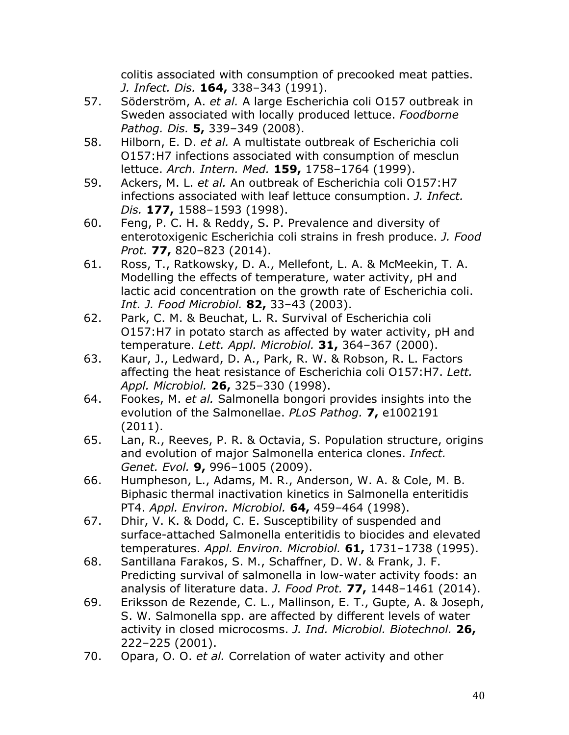colitis associated with consumption of precooked meat patties. *J. Infect. Dis.* **164,** 338–343 (1991).

- 57. Söderström, A. *et al.* A large Escherichia coli O157 outbreak in Sweden associated with locally produced lettuce. *Foodborne Pathog. Dis.* **5,** 339–349 (2008).
- 58. Hilborn, E. D. *et al.* A multistate outbreak of Escherichia coli O157:H7 infections associated with consumption of mesclun lettuce. *Arch. Intern. Med.* **159,** 1758–1764 (1999).
- 59. Ackers, M. L. *et al.* An outbreak of Escherichia coli O157:H7 infections associated with leaf lettuce consumption. *J. Infect. Dis.* **177,** 1588–1593 (1998).
- 60. Feng, P. C. H. & Reddy, S. P. Prevalence and diversity of enterotoxigenic Escherichia coli strains in fresh produce. *J. Food Prot.* **77,** 820–823 (2014).
- 61. Ross, T., Ratkowsky, D. A., Mellefont, L. A. & McMeekin, T. A. Modelling the effects of temperature, water activity, pH and lactic acid concentration on the growth rate of Escherichia coli. *Int. J. Food Microbiol.* **82,** 33–43 (2003).
- 62. Park, C. M. & Beuchat, L. R. Survival of Escherichia coli O157:H7 in potato starch as affected by water activity, pH and temperature. *Lett. Appl. Microbiol.* **31,** 364–367 (2000).
- 63. Kaur, J., Ledward, D. A., Park, R. W. & Robson, R. L. Factors affecting the heat resistance of Escherichia coli O157:H7. *Lett. Appl. Microbiol.* **26,** 325–330 (1998).
- 64. Fookes, M. *et al.* Salmonella bongori provides insights into the evolution of the Salmonellae. *PLoS Pathog.* **7,** e1002191 (2011).
- 65. Lan, R., Reeves, P. R. & Octavia, S. Population structure, origins and evolution of major Salmonella enterica clones. *Infect. Genet. Evol.* **9,** 996–1005 (2009).
- 66. Humpheson, L., Adams, M. R., Anderson, W. A. & Cole, M. B. Biphasic thermal inactivation kinetics in Salmonella enteritidis PT4. *Appl. Environ. Microbiol.* **64,** 459–464 (1998).
- 67. Dhir, V. K. & Dodd, C. E. Susceptibility of suspended and surface-attached Salmonella enteritidis to biocides and elevated temperatures. *Appl. Environ. Microbiol.* **61,** 1731–1738 (1995).
- 68. Santillana Farakos, S. M., Schaffner, D. W. & Frank, J. F. Predicting survival of salmonella in low-water activity foods: an analysis of literature data. *J. Food Prot.* **77,** 1448–1461 (2014).
- 69. Eriksson de Rezende, C. L., Mallinson, E. T., Gupte, A. & Joseph, S. W. Salmonella spp. are affected by different levels of water activity in closed microcosms. *J. Ind. Microbiol. Biotechnol.* **26,** 222–225 (2001).
- 70. Opara, O. O. *et al.* Correlation of water activity and other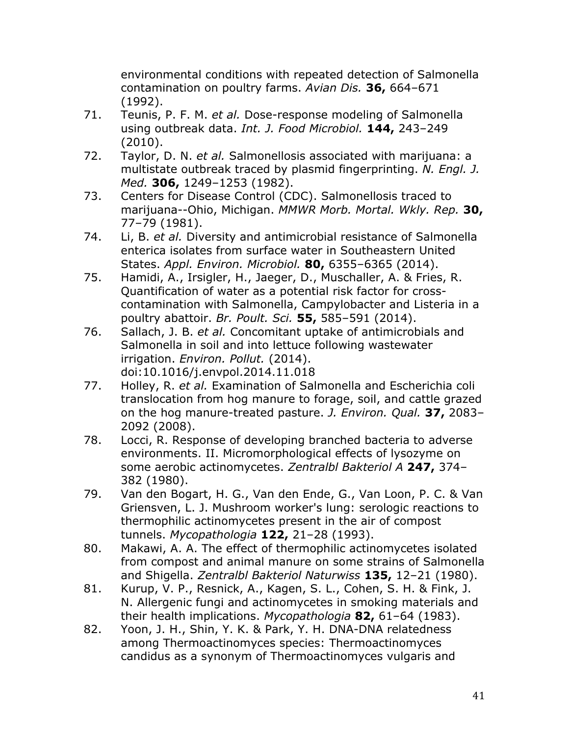environmental conditions with repeated detection of Salmonella contamination on poultry farms. *Avian Dis.* **36,** 664–671 (1992).

- 71. Teunis, P. F. M. *et al.* Dose-response modeling of Salmonella using outbreak data. *Int. J. Food Microbiol.* **144,** 243–249 (2010).
- 72. Taylor, D. N. *et al.* Salmonellosis associated with marijuana: a multistate outbreak traced by plasmid fingerprinting. *N. Engl. J. Med.* **306,** 1249–1253 (1982).
- 73. Centers for Disease Control (CDC). Salmonellosis traced to marijuana--Ohio, Michigan. *MMWR Morb. Mortal. Wkly. Rep.* **30,** 77–79 (1981).
- 74. Li, B. *et al.* Diversity and antimicrobial resistance of Salmonella enterica isolates from surface water in Southeastern United States. *Appl. Environ. Microbiol.* **80,** 6355–6365 (2014).
- 75. Hamidi, A., Irsigler, H., Jaeger, D., Muschaller, A. & Fries, R. Quantification of water as a potential risk factor for crosscontamination with Salmonella, Campylobacter and Listeria in a poultry abattoir. *Br. Poult. Sci.* **55,** 585–591 (2014).
- 76. Sallach, J. B. *et al.* Concomitant uptake of antimicrobials and Salmonella in soil and into lettuce following wastewater irrigation. *Environ. Pollut.* (2014). doi:10.1016/j.envpol.2014.11.018
- 77. Holley, R. *et al.* Examination of Salmonella and Escherichia coli translocation from hog manure to forage, soil, and cattle grazed on the hog manure-treated pasture. *J. Environ. Qual.* **37,** 2083– 2092 (2008).
- 78. Locci, R. Response of developing branched bacteria to adverse environments. II. Micromorphological effects of lysozyme on some aerobic actinomycetes. *Zentralbl Bakteriol A* **247,** 374– 382 (1980).
- 79. Van den Bogart, H. G., Van den Ende, G., Van Loon, P. C. & Van Griensven, L. J. Mushroom worker's lung: serologic reactions to thermophilic actinomycetes present in the air of compost tunnels. *Mycopathologia* **122,** 21–28 (1993).
- 80. Makawi, A. A. The effect of thermophilic actinomycetes isolated from compost and animal manure on some strains of Salmonella and Shigella. *Zentralbl Bakteriol Naturwiss* **135,** 12–21 (1980).
- 81. Kurup, V. P., Resnick, A., Kagen, S. L., Cohen, S. H. & Fink, J. N. Allergenic fungi and actinomycetes in smoking materials and their health implications. *Mycopathologia* **82,** 61–64 (1983).
- 82. Yoon, J. H., Shin, Y. K. & Park, Y. H. DNA-DNA relatedness among Thermoactinomyces species: Thermoactinomyces candidus as a synonym of Thermoactinomyces vulgaris and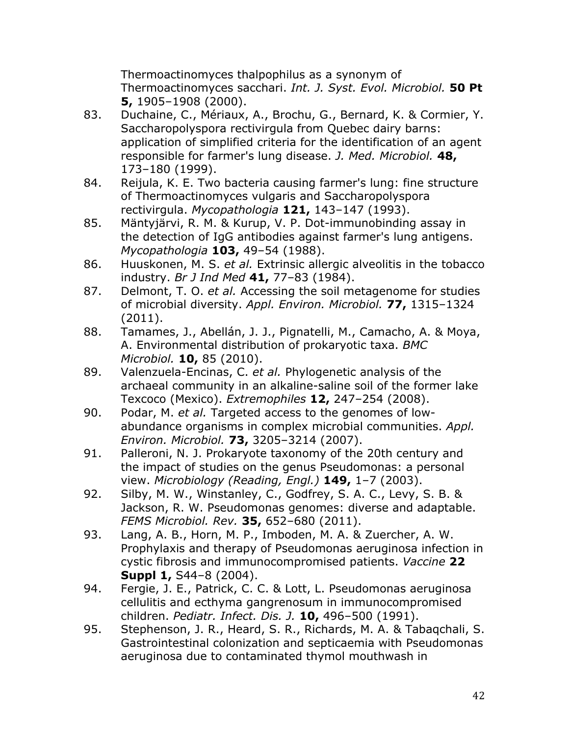Thermoactinomyces thalpophilus as a synonym of Thermoactinomyces sacchari. *Int. J. Syst. Evol. Microbiol.* **50 Pt 5,** 1905–1908 (2000).

- 83. Duchaine, C., Mériaux, A., Brochu, G., Bernard, K. & Cormier, Y. Saccharopolyspora rectivirgula from Quebec dairy barns: application of simplified criteria for the identification of an agent responsible for farmer's lung disease. *J. Med. Microbiol.* **48,** 173–180 (1999).
- 84. Reijula, K. E. Two bacteria causing farmer's lung: fine structure of Thermoactinomyces vulgaris and Saccharopolyspora rectivirgula. *Mycopathologia* **121,** 143–147 (1993).
- 85. Mäntyjärvi, R. M. & Kurup, V. P. Dot-immunobinding assay in the detection of IgG antibodies against farmer's lung antigens. *Mycopathologia* **103,** 49–54 (1988).
- 86. Huuskonen, M. S. *et al.* Extrinsic allergic alveolitis in the tobacco industry. *Br J Ind Med* **41,** 77–83 (1984).
- 87. Delmont, T. O. *et al.* Accessing the soil metagenome for studies of microbial diversity. *Appl. Environ. Microbiol.* **77,** 1315–1324 (2011).
- 88. Tamames, J., Abellán, J. J., Pignatelli, M., Camacho, A. & Moya, A. Environmental distribution of prokaryotic taxa. *BMC Microbiol.* **10,** 85 (2010).
- 89. Valenzuela-Encinas, C. *et al.* Phylogenetic analysis of the archaeal community in an alkaline-saline soil of the former lake Texcoco (Mexico). *Extremophiles* **12,** 247–254 (2008).
- 90. Podar, M. *et al.* Targeted access to the genomes of lowabundance organisms in complex microbial communities. *Appl. Environ. Microbiol.* **73,** 3205–3214 (2007).
- 91. Palleroni, N. J. Prokaryote taxonomy of the 20th century and the impact of studies on the genus Pseudomonas: a personal view. *Microbiology (Reading, Engl.)* **149,** 1–7 (2003).
- 92. Silby, M. W., Winstanley, C., Godfrey, S. A. C., Levy, S. B. & Jackson, R. W. Pseudomonas genomes: diverse and adaptable. *FEMS Microbiol. Rev.* **35,** 652–680 (2011).
- 93. Lang, A. B., Horn, M. P., Imboden, M. A. & Zuercher, A. W. Prophylaxis and therapy of Pseudomonas aeruginosa infection in cystic fibrosis and immunocompromised patients. *Vaccine* **22 Suppl 1,** S44–8 (2004).
- 94. Fergie, J. E., Patrick, C. C. & Lott, L. Pseudomonas aeruginosa cellulitis and ecthyma gangrenosum in immunocompromised children. *Pediatr. Infect. Dis. J.* **10,** 496–500 (1991).
- 95. Stephenson, J. R., Heard, S. R., Richards, M. A. & Tabaqchali, S. Gastrointestinal colonization and septicaemia with Pseudomonas aeruginosa due to contaminated thymol mouthwash in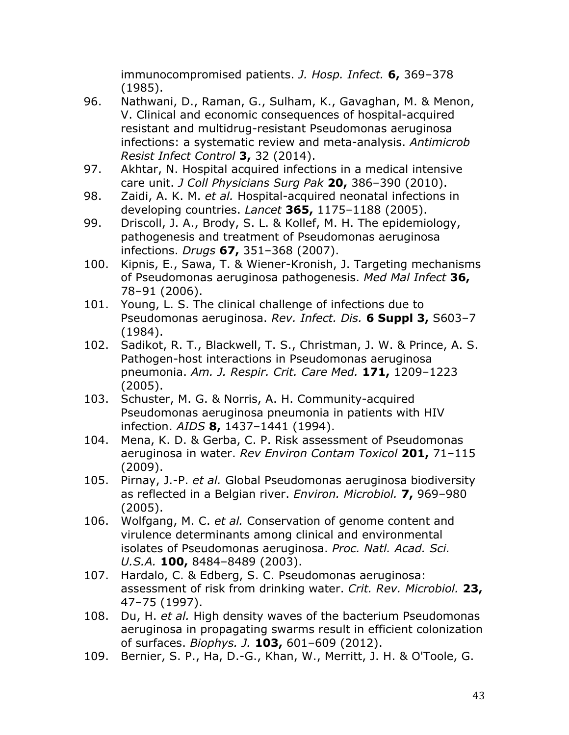immunocompromised patients. *J. Hosp. Infect.* **6,** 369–378 (1985).

- 96. Nathwani, D., Raman, G., Sulham, K., Gavaghan, M. & Menon, V. Clinical and economic consequences of hospital-acquired resistant and multidrug-resistant Pseudomonas aeruginosa infections: a systematic review and meta-analysis. *Antimicrob Resist Infect Control* **3,** 32 (2014).
- 97. Akhtar, N. Hospital acquired infections in a medical intensive care unit. *J Coll Physicians Surg Pak* **20,** 386–390 (2010).
- 98. Zaidi, A. K. M. *et al.* Hospital-acquired neonatal infections in developing countries. *Lancet* **365,** 1175–1188 (2005).
- 99. Driscoll, J. A., Brody, S. L. & Kollef, M. H. The epidemiology, pathogenesis and treatment of Pseudomonas aeruginosa infections. *Drugs* **67,** 351–368 (2007).
- 100. Kipnis, E., Sawa, T. & Wiener-Kronish, J. Targeting mechanisms of Pseudomonas aeruginosa pathogenesis. *Med Mal Infect* **36,** 78–91 (2006).
- 101. Young, L. S. The clinical challenge of infections due to Pseudomonas aeruginosa. *Rev. Infect. Dis.* **6 Suppl 3,** S603–7 (1984).
- 102. Sadikot, R. T., Blackwell, T. S., Christman, J. W. & Prince, A. S. Pathogen-host interactions in Pseudomonas aeruginosa pneumonia. *Am. J. Respir. Crit. Care Med.* **171,** 1209–1223 (2005).
- 103. Schuster, M. G. & Norris, A. H. Community-acquired Pseudomonas aeruginosa pneumonia in patients with HIV infection. *AIDS* **8,** 1437–1441 (1994).
- 104. Mena, K. D. & Gerba, C. P. Risk assessment of Pseudomonas aeruginosa in water. *Rev Environ Contam Toxicol* **201,** 71–115 (2009).
- 105. Pirnay, J.-P. *et al.* Global Pseudomonas aeruginosa biodiversity as reflected in a Belgian river. *Environ. Microbiol.* **7,** 969–980 (2005).
- 106. Wolfgang, M. C. *et al.* Conservation of genome content and virulence determinants among clinical and environmental isolates of Pseudomonas aeruginosa. *Proc. Natl. Acad. Sci. U.S.A.* **100,** 8484–8489 (2003).
- 107. Hardalo, C. & Edberg, S. C. Pseudomonas aeruginosa: assessment of risk from drinking water. *Crit. Rev. Microbiol.* **23,** 47–75 (1997).
- 108. Du, H. *et al.* High density waves of the bacterium Pseudomonas aeruginosa in propagating swarms result in efficient colonization of surfaces. *Biophys. J.* **103,** 601–609 (2012).
- 109. Bernier, S. P., Ha, D.-G., Khan, W., Merritt, J. H. & O'Toole, G.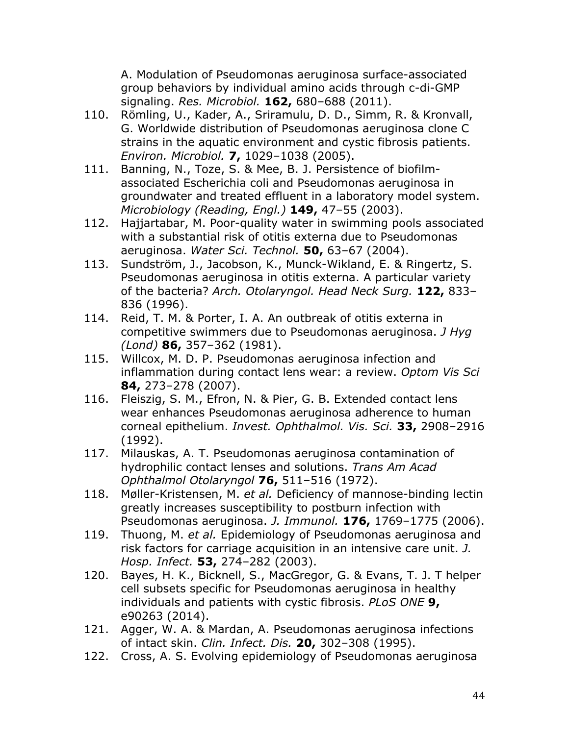A. Modulation of Pseudomonas aeruginosa surface-associated group behaviors by individual amino acids through c-di-GMP signaling. *Res. Microbiol.* **162,** 680–688 (2011).

- 110. Römling, U., Kader, A., Sriramulu, D. D., Simm, R. & Kronvall, G. Worldwide distribution of Pseudomonas aeruginosa clone C strains in the aquatic environment and cystic fibrosis patients. *Environ. Microbiol.* **7,** 1029–1038 (2005).
- 111. Banning, N., Toze, S. & Mee, B. J. Persistence of biofilmassociated Escherichia coli and Pseudomonas aeruginosa in groundwater and treated effluent in a laboratory model system. *Microbiology (Reading, Engl.)* **149,** 47–55 (2003).
- 112. Hajjartabar, M. Poor-quality water in swimming pools associated with a substantial risk of otitis externa due to Pseudomonas aeruginosa. *Water Sci. Technol.* **50,** 63–67 (2004).
- 113. Sundström, J., Jacobson, K., Munck-Wikland, E. & Ringertz, S. Pseudomonas aeruginosa in otitis externa. A particular variety of the bacteria? *Arch. Otolaryngol. Head Neck Surg.* **122,** 833– 836 (1996).
- 114. Reid, T. M. & Porter, I. A. An outbreak of otitis externa in competitive swimmers due to Pseudomonas aeruginosa. *J Hyg (Lond)* **86,** 357–362 (1981).
- 115. Willcox, M. D. P. Pseudomonas aeruginosa infection and inflammation during contact lens wear: a review. *Optom Vis Sci* **84,** 273–278 (2007).
- 116. Fleiszig, S. M., Efron, N. & Pier, G. B. Extended contact lens wear enhances Pseudomonas aeruginosa adherence to human corneal epithelium. *Invest. Ophthalmol. Vis. Sci.* **33,** 2908–2916 (1992).
- 117. Milauskas, A. T. Pseudomonas aeruginosa contamination of hydrophilic contact lenses and solutions. *Trans Am Acad Ophthalmol Otolaryngol* **76,** 511–516 (1972).
- 118. Møller-Kristensen, M. *et al.* Deficiency of mannose-binding lectin greatly increases susceptibility to postburn infection with Pseudomonas aeruginosa. *J. Immunol.* **176,** 1769–1775 (2006).
- 119. Thuong, M. *et al.* Epidemiology of Pseudomonas aeruginosa and risk factors for carriage acquisition in an intensive care unit. *J. Hosp. Infect.* **53,** 274–282 (2003).
- 120. Bayes, H. K., Bicknell, S., MacGregor, G. & Evans, T. J. T helper cell subsets specific for Pseudomonas aeruginosa in healthy individuals and patients with cystic fibrosis. *PLoS ONE* **9,** e90263 (2014).
- 121. Agger, W. A. & Mardan, A. Pseudomonas aeruginosa infections of intact skin. *Clin. Infect. Dis.* **20,** 302–308 (1995).
- 122. Cross, A. S. Evolving epidemiology of Pseudomonas aeruginosa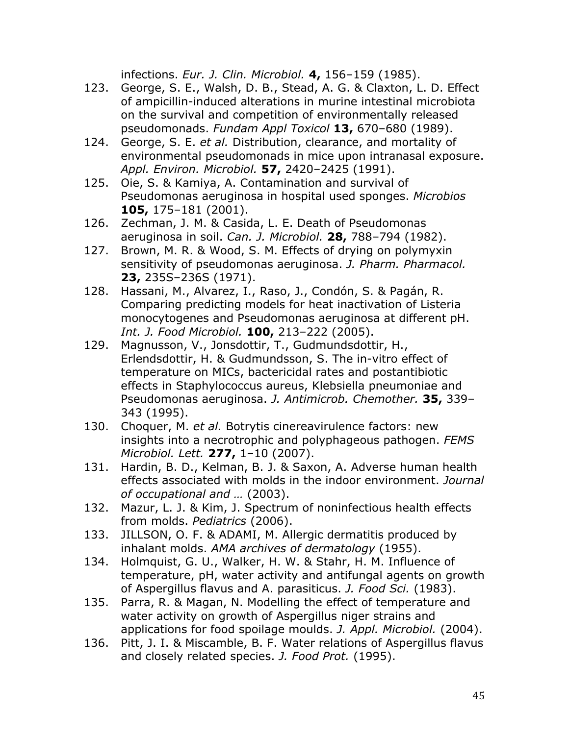infections. *Eur. J. Clin. Microbiol.* **4,** 156–159 (1985).

- 123. George, S. E., Walsh, D. B., Stead, A. G. & Claxton, L. D. Effect of ampicillin-induced alterations in murine intestinal microbiota on the survival and competition of environmentally released pseudomonads. *Fundam Appl Toxicol* **13,** 670–680 (1989).
- 124. George, S. E. *et al.* Distribution, clearance, and mortality of environmental pseudomonads in mice upon intranasal exposure. *Appl. Environ. Microbiol.* **57,** 2420–2425 (1991).
- 125. Oie, S. & Kamiya, A. Contamination and survival of Pseudomonas aeruginosa in hospital used sponges. *Microbios* **105,** 175–181 (2001).
- 126. Zechman, J. M. & Casida, L. E. Death of Pseudomonas aeruginosa in soil. *Can. J. Microbiol.* **28,** 788–794 (1982).
- 127. Brown, M. R. & Wood, S. M. Effects of drying on polymyxin sensitivity of pseudomonas aeruginosa. *J. Pharm. Pharmacol.* **23,** 235S–236S (1971).
- 128. Hassani, M., Alvarez, I., Raso, J., Condón, S. & Pagán, R. Comparing predicting models for heat inactivation of Listeria monocytogenes and Pseudomonas aeruginosa at different pH. *Int. J. Food Microbiol.* **100,** 213–222 (2005).
- 129. Magnusson, V., Jonsdottir, T., Gudmundsdottir, H., Erlendsdottir, H. & Gudmundsson, S. The in-vitro effect of temperature on MICs, bactericidal rates and postantibiotic effects in Staphylococcus aureus, Klebsiella pneumoniae and Pseudomonas aeruginosa. *J. Antimicrob. Chemother.* **35,** 339– 343 (1995).
- 130. Choquer, M. *et al.* Botrytis cinereavirulence factors: new insights into a necrotrophic and polyphageous pathogen. *FEMS Microbiol. Lett.* **277,** 1–10 (2007).
- 131. Hardin, B. D., Kelman, B. J. & Saxon, A. Adverse human health effects associated with molds in the indoor environment. *Journal of occupational and …* (2003).
- 132. Mazur, L. J. & Kim, J. Spectrum of noninfectious health effects from molds. *Pediatrics* (2006).
- 133. JILLSON, O. F. & ADAMI, M. Allergic dermatitis produced by inhalant molds. *AMA archives of dermatology* (1955).
- 134. Holmquist, G. U., Walker, H. W. & Stahr, H. M. Influence of temperature, pH, water activity and antifungal agents on growth of Aspergillus flavus and A. parasiticus. *J. Food Sci.* (1983).
- 135. Parra, R. & Magan, N. Modelling the effect of temperature and water activity on growth of Aspergillus niger strains and applications for food spoilage moulds. *J. Appl. Microbiol.* (2004).
- 136. Pitt, J. I. & Miscamble, B. F. Water relations of Aspergillus flavus and closely related species. *J. Food Prot.* (1995).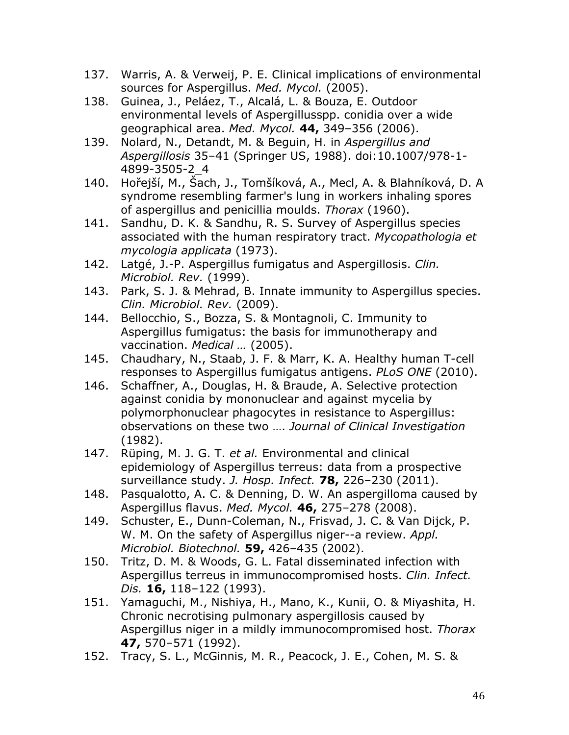- 137. Warris, A. & Verweij, P. E. Clinical implications of environmental sources for Aspergillus. *Med. Mycol.* (2005).
- 138. Guinea, J., Peláez, T., Alcalá, L. & Bouza, E. Outdoor environmental levels of Aspergillusspp. conidia over a wide geographical area. *Med. Mycol.* **44,** 349–356 (2006).
- 139. Nolard, N., Detandt, M. & Beguin, H. in *Aspergillus and Aspergillosis* 35–41 (Springer US, 1988). doi:10.1007/978-1- 4899-3505-2\_4
- 140. Hořejší, M., Šach, J., Tomšíková, A., Mecl, A. & Blahníková, D. A syndrome resembling farmer's lung in workers inhaling spores of aspergillus and penicillia moulds. *Thorax* (1960).
- 141. Sandhu, D. K. & Sandhu, R. S. Survey of Aspergillus species associated with the human respiratory tract. *Mycopathologia et mycologia applicata* (1973).
- 142. Latgé, J.-P. Aspergillus fumigatus and Aspergillosis. *Clin. Microbiol. Rev.* (1999).
- 143. Park, S. J. & Mehrad, B. Innate immunity to Aspergillus species. *Clin. Microbiol. Rev.* (2009).
- 144. Bellocchio, S., Bozza, S. & Montagnoli, C. Immunity to Aspergillus fumigatus: the basis for immunotherapy and vaccination. *Medical …* (2005).
- 145. Chaudhary, N., Staab, J. F. & Marr, K. A. Healthy human T-cell responses to Aspergillus fumigatus antigens. *PLoS ONE* (2010).
- 146. Schaffner, A., Douglas, H. & Braude, A. Selective protection against conidia by mononuclear and against mycelia by polymorphonuclear phagocytes in resistance to Aspergillus: observations on these two …. *Journal of Clinical Investigation* (1982).
- 147. Rüping, M. J. G. T. *et al.* Environmental and clinical epidemiology of Aspergillus terreus: data from a prospective surveillance study. *J. Hosp. Infect.* **78,** 226–230 (2011).
- 148. Pasqualotto, A. C. & Denning, D. W. An aspergilloma caused by Aspergillus flavus. *Med. Mycol.* **46,** 275–278 (2008).
- 149. Schuster, E., Dunn-Coleman, N., Frisvad, J. C. & Van Dijck, P. W. M. On the safety of Aspergillus niger--a review. *Appl. Microbiol. Biotechnol.* **59,** 426–435 (2002).
- 150. Tritz, D. M. & Woods, G. L. Fatal disseminated infection with Aspergillus terreus in immunocompromised hosts. *Clin. Infect. Dis.* **16,** 118–122 (1993).
- 151. Yamaguchi, M., Nishiya, H., Mano, K., Kunii, O. & Miyashita, H. Chronic necrotising pulmonary aspergillosis caused by Aspergillus niger in a mildly immunocompromised host. *Thorax* **47,** 570–571 (1992).
- 152. Tracy, S. L., McGinnis, M. R., Peacock, J. E., Cohen, M. S. &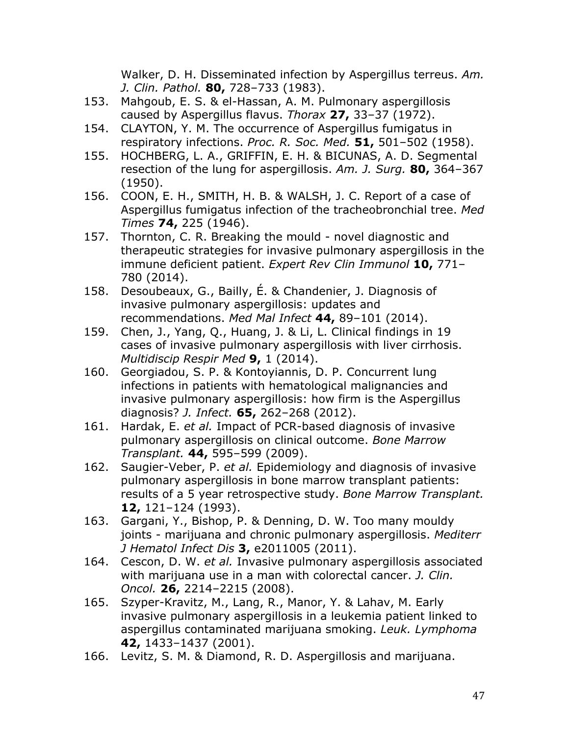Walker, D. H. Disseminated infection by Aspergillus terreus. *Am. J. Clin. Pathol.* **80,** 728–733 (1983).

- 153. Mahgoub, E. S. & el-Hassan, A. M. Pulmonary aspergillosis caused by Aspergillus flavus. *Thorax* **27,** 33–37 (1972).
- 154. CLAYTON, Y. M. The occurrence of Aspergillus fumigatus in respiratory infections. *Proc. R. Soc. Med.* **51,** 501–502 (1958).
- 155. HOCHBERG, L. A., GRIFFIN, E. H. & BICUNAS, A. D. Segmental resection of the lung for aspergillosis. *Am. J. Surg.* **80,** 364–367 (1950).
- 156. COON, E. H., SMITH, H. B. & WALSH, J. C. Report of a case of Aspergillus fumigatus infection of the tracheobronchial tree. *Med Times* **74,** 225 (1946).
- 157. Thornton, C. R. Breaking the mould novel diagnostic and therapeutic strategies for invasive pulmonary aspergillosis in the immune deficient patient. *Expert Rev Clin Immunol* **10,** 771– 780 (2014).
- 158. Desoubeaux, G., Bailly, É. & Chandenier, J. Diagnosis of invasive pulmonary aspergillosis: updates and recommendations. *Med Mal Infect* **44,** 89–101 (2014).
- 159. Chen, J., Yang, Q., Huang, J. & Li, L. Clinical findings in 19 cases of invasive pulmonary aspergillosis with liver cirrhosis. *Multidiscip Respir Med* **9,** 1 (2014).
- 160. Georgiadou, S. P. & Kontoyiannis, D. P. Concurrent lung infections in patients with hematological malignancies and invasive pulmonary aspergillosis: how firm is the Aspergillus diagnosis? *J. Infect.* **65,** 262–268 (2012).
- 161. Hardak, E. *et al.* Impact of PCR-based diagnosis of invasive pulmonary aspergillosis on clinical outcome. *Bone Marrow Transplant.* **44,** 595–599 (2009).
- 162. Saugier-Veber, P. *et al.* Epidemiology and diagnosis of invasive pulmonary aspergillosis in bone marrow transplant patients: results of a 5 year retrospective study. *Bone Marrow Transplant.* **12,** 121–124 (1993).
- 163. Gargani, Y., Bishop, P. & Denning, D. W. Too many mouldy joints - marijuana and chronic pulmonary aspergillosis. *Mediterr J Hematol Infect Dis* **3,** e2011005 (2011).
- 164. Cescon, D. W. *et al.* Invasive pulmonary aspergillosis associated with marijuana use in a man with colorectal cancer. *J. Clin. Oncol.* **26,** 2214–2215 (2008).
- 165. Szyper-Kravitz, M., Lang, R., Manor, Y. & Lahav, M. Early invasive pulmonary aspergillosis in a leukemia patient linked to aspergillus contaminated marijuana smoking. *Leuk. Lymphoma* **42,** 1433–1437 (2001).
- 166. Levitz, S. M. & Diamond, R. D. Aspergillosis and marijuana.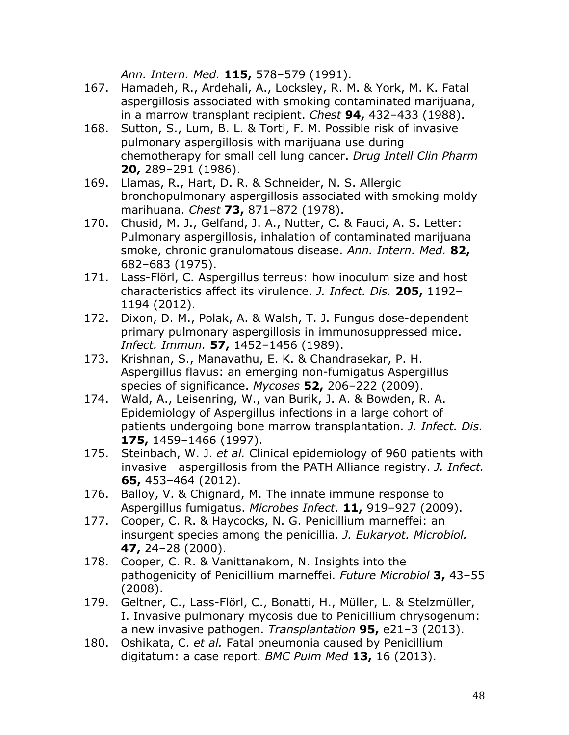*Ann. Intern. Med.* **115,** 578–579 (1991).

- 167. Hamadeh, R., Ardehali, A., Locksley, R. M. & York, M. K. Fatal aspergillosis associated with smoking contaminated marijuana, in a marrow transplant recipient. *Chest* **94,** 432–433 (1988).
- 168. Sutton, S., Lum, B. L. & Torti, F. M. Possible risk of invasive pulmonary aspergillosis with marijuana use during chemotherapy for small cell lung cancer. *Drug Intell Clin Pharm* **20,** 289–291 (1986).
- 169. Llamas, R., Hart, D. R. & Schneider, N. S. Allergic bronchopulmonary aspergillosis associated with smoking moldy marihuana. *Chest* **73,** 871–872 (1978).
- 170. Chusid, M. J., Gelfand, J. A., Nutter, C. & Fauci, A. S. Letter: Pulmonary aspergillosis, inhalation of contaminated marijuana smoke, chronic granulomatous disease. *Ann. Intern. Med.* **82,** 682–683 (1975).
- 171. Lass-Flörl, C. Aspergillus terreus: how inoculum size and host characteristics affect its virulence. *J. Infect. Dis.* **205,** 1192– 1194 (2012).
- 172. Dixon, D. M., Polak, A. & Walsh, T. J. Fungus dose-dependent primary pulmonary aspergillosis in immunosuppressed mice. *Infect. Immun.* **57,** 1452–1456 (1989).
- 173. Krishnan, S., Manavathu, E. K. & Chandrasekar, P. H. Aspergillus flavus: an emerging non-fumigatus Aspergillus species of significance. *Mycoses* **52,** 206–222 (2009).
- 174. Wald, A., Leisenring, W., van Burik, J. A. & Bowden, R. A. Epidemiology of Aspergillus infections in a large cohort of patients undergoing bone marrow transplantation. *J. Infect. Dis.* **175,** 1459–1466 (1997).
- 175. Steinbach, W. J. *et al.* Clinical epidemiology of 960 patients with invasive aspergillosis from the PATH Alliance registry. *J. Infect.* **65,** 453–464 (2012).
- 176. Balloy, V. & Chignard, M. The innate immune response to Aspergillus fumigatus. *Microbes Infect.* **11,** 919–927 (2009).
- 177. Cooper, C. R. & Haycocks, N. G. Penicillium marneffei: an insurgent species among the penicillia. *J. Eukaryot. Microbiol.* **47,** 24–28 (2000).
- 178. Cooper, C. R. & Vanittanakom, N. Insights into the pathogenicity of Penicillium marneffei. *Future Microbiol* **3,** 43–55 (2008).
- 179. Geltner, C., Lass-Flörl, C., Bonatti, H., Müller, L. & Stelzmüller, I. Invasive pulmonary mycosis due to Penicillium chrysogenum: a new invasive pathogen. *Transplantation* **95,** e21–3 (2013).
- 180. Oshikata, C. *et al.* Fatal pneumonia caused by Penicillium digitatum: a case report. *BMC Pulm Med* **13,** 16 (2013).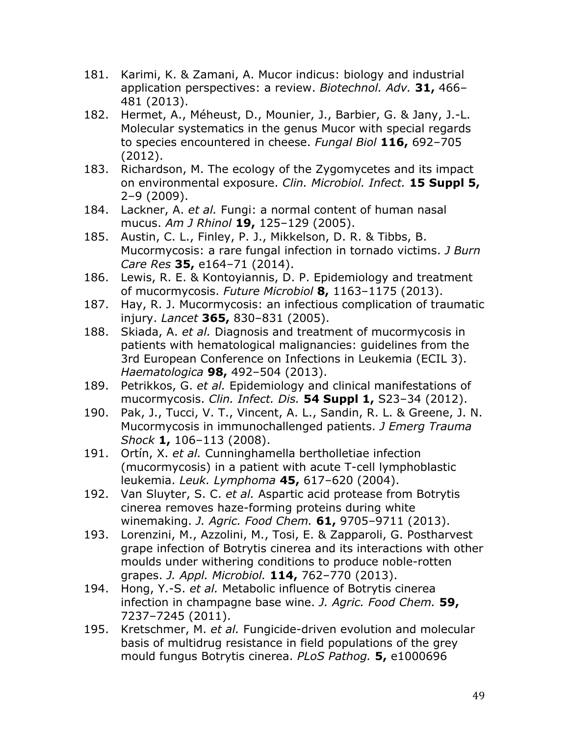- 181. Karimi, K. & Zamani, A. Mucor indicus: biology and industrial application perspectives: a review. *Biotechnol. Adv.* **31,** 466– 481 (2013).
- 182. Hermet, A., Méheust, D., Mounier, J., Barbier, G. & Jany, J.-L. Molecular systematics in the genus Mucor with special regards to species encountered in cheese. *Fungal Biol* **116,** 692–705 (2012).
- 183. Richardson, M. The ecology of the Zygomycetes and its impact on environmental exposure. *Clin. Microbiol. Infect.* **15 Suppl 5,** 2–9 (2009).
- 184. Lackner, A. *et al.* Fungi: a normal content of human nasal mucus. *Am J Rhinol* **19,** 125–129 (2005).
- 185. Austin, C. L., Finley, P. J., Mikkelson, D. R. & Tibbs, B. Mucormycosis: a rare fungal infection in tornado victims. *J Burn Care Res* **35,** e164–71 (2014).
- 186. Lewis, R. E. & Kontoyiannis, D. P. Epidemiology and treatment of mucormycosis. *Future Microbiol* **8,** 1163–1175 (2013).
- 187. Hay, R. J. Mucormycosis: an infectious complication of traumatic injury. *Lancet* **365,** 830–831 (2005).
- 188. Skiada, A. *et al.* Diagnosis and treatment of mucormycosis in patients with hematological malignancies: guidelines from the 3rd European Conference on Infections in Leukemia (ECIL 3). *Haematologica* **98,** 492–504 (2013).
- 189. Petrikkos, G. *et al.* Epidemiology and clinical manifestations of mucormycosis. *Clin. Infect. Dis.* **54 Suppl 1,** S23–34 (2012).
- 190. Pak, J., Tucci, V. T., Vincent, A. L., Sandin, R. L. & Greene, J. N. Mucormycosis in immunochallenged patients. *J Emerg Trauma Shock* **1,** 106–113 (2008).
- 191. Ortín, X. *et al.* Cunninghamella bertholletiae infection (mucormycosis) in a patient with acute T-cell lymphoblastic leukemia. *Leuk. Lymphoma* **45,** 617–620 (2004).
- 192. Van Sluyter, S. C. *et al.* Aspartic acid protease from Botrytis cinerea removes haze-forming proteins during white winemaking. *J. Agric. Food Chem.* **61,** 9705–9711 (2013).
- 193. Lorenzini, M., Azzolini, M., Tosi, E. & Zapparoli, G. Postharvest grape infection of Botrytis cinerea and its interactions with other moulds under withering conditions to produce noble-rotten grapes. *J. Appl. Microbiol.* **114,** 762–770 (2013).
- 194. Hong, Y.-S. *et al.* Metabolic influence of Botrytis cinerea infection in champagne base wine. *J. Agric. Food Chem.* **59,** 7237–7245 (2011).
- 195. Kretschmer, M. *et al.* Fungicide-driven evolution and molecular basis of multidrug resistance in field populations of the grey mould fungus Botrytis cinerea. *PLoS Pathog.* **5,** e1000696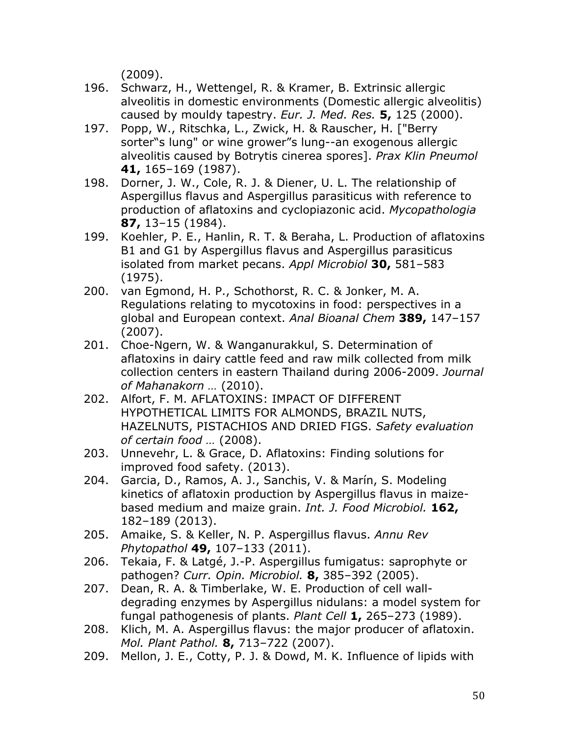(2009).

- 196. Schwarz, H., Wettengel, R. & Kramer, B. Extrinsic allergic alveolitis in domestic environments (Domestic allergic alveolitis) caused by mouldy tapestry. *Eur. J. Med. Res.* **5,** 125 (2000).
- 197. Popp, W., Ritschka, L., Zwick, H. & Rauscher, H. ["Berry sorter"s lung" or wine grower"s lung--an exogenous allergic alveolitis caused by Botrytis cinerea spores]. *Prax Klin Pneumol* **41,** 165–169 (1987).
- 198. Dorner, J. W., Cole, R. J. & Diener, U. L. The relationship of Aspergillus flavus and Aspergillus parasiticus with reference to production of aflatoxins and cyclopiazonic acid. *Mycopathologia* **87,** 13–15 (1984).
- 199. Koehler, P. E., Hanlin, R. T. & Beraha, L. Production of aflatoxins B1 and G1 by Aspergillus flavus and Aspergillus parasiticus isolated from market pecans. *Appl Microbiol* **30,** 581–583 (1975).
- 200. van Egmond, H. P., Schothorst, R. C. & Jonker, M. A. Regulations relating to mycotoxins in food: perspectives in a global and European context. *Anal Bioanal Chem* **389,** 147–157 (2007).
- 201. Choe-Ngern, W. & Wanganurakkul, S. Determination of aflatoxins in dairy cattle feed and raw milk collected from milk collection centers in eastern Thailand during 2006-2009. *Journal of Mahanakorn …* (2010).
- 202. Alfort, F. M. AFLATOXINS: IMPACT OF DIFFERENT HYPOTHETICAL LIMITS FOR ALMONDS, BRAZIL NUTS, HAZELNUTS, PISTACHIOS AND DRIED FIGS. *Safety evaluation of certain food …* (2008).
- 203. Unnevehr, L. & Grace, D. Aflatoxins: Finding solutions for improved food safety. (2013).
- 204. Garcia, D., Ramos, A. J., Sanchis, V. & Marín, S. Modeling kinetics of aflatoxin production by Aspergillus flavus in maizebased medium and maize grain. *Int. J. Food Microbiol.* **162,** 182–189 (2013).
- 205. Amaike, S. & Keller, N. P. Aspergillus flavus. *Annu Rev Phytopathol* **49,** 107–133 (2011).
- 206. Tekaia, F. & Latgé, J.-P. Aspergillus fumigatus: saprophyte or pathogen? *Curr. Opin. Microbiol.* **8,** 385–392 (2005).
- 207. Dean, R. A. & Timberlake, W. E. Production of cell walldegrading enzymes by Aspergillus nidulans: a model system for fungal pathogenesis of plants. *Plant Cell* **1,** 265–273 (1989).
- 208. Klich, M. A. Aspergillus flavus: the major producer of aflatoxin. *Mol. Plant Pathol.* **8,** 713–722 (2007).
- 209. Mellon, J. E., Cotty, P. J. & Dowd, M. K. Influence of lipids with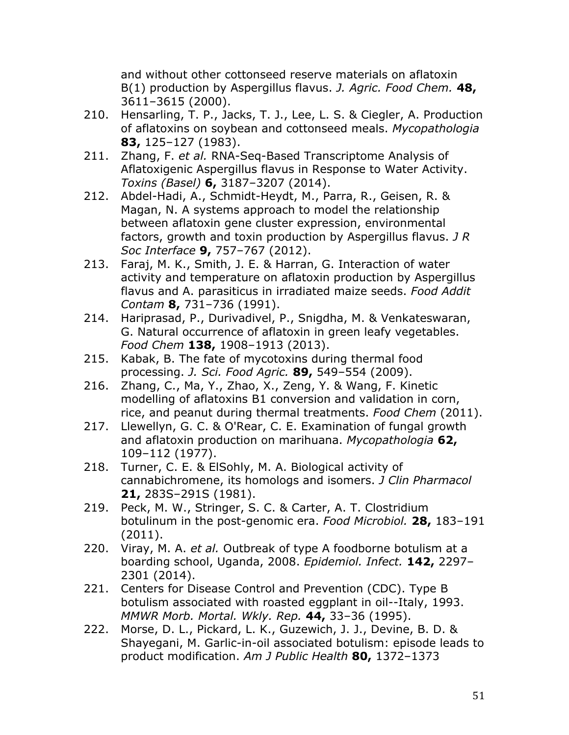and without other cottonseed reserve materials on aflatoxin B(1) production by Aspergillus flavus. *J. Agric. Food Chem.* **48,** 3611–3615 (2000).

- 210. Hensarling, T. P., Jacks, T. J., Lee, L. S. & Ciegler, A. Production of aflatoxins on soybean and cottonseed meals. *Mycopathologia* **83,** 125–127 (1983).
- 211. Zhang, F. *et al.* RNA-Seq-Based Transcriptome Analysis of Aflatoxigenic Aspergillus flavus in Response to Water Activity. *Toxins (Basel)* **6,** 3187–3207 (2014).
- 212. Abdel-Hadi, A., Schmidt-Heydt, M., Parra, R., Geisen, R. & Magan, N. A systems approach to model the relationship between aflatoxin gene cluster expression, environmental factors, growth and toxin production by Aspergillus flavus. *J R Soc Interface* **9,** 757–767 (2012).
- 213. Faraj, M. K., Smith, J. E. & Harran, G. Interaction of water activity and temperature on aflatoxin production by Aspergillus flavus and A. parasiticus in irradiated maize seeds. *Food Addit Contam* **8,** 731–736 (1991).
- 214. Hariprasad, P., Durivadivel, P., Snigdha, M. & Venkateswaran, G. Natural occurrence of aflatoxin in green leafy vegetables. *Food Chem* **138,** 1908–1913 (2013).
- 215. Kabak, B. The fate of mycotoxins during thermal food processing. *J. Sci. Food Agric.* **89,** 549–554 (2009).
- 216. Zhang, C., Ma, Y., Zhao, X., Zeng, Y. & Wang, F. Kinetic modelling of aflatoxins B1 conversion and validation in corn, rice, and peanut during thermal treatments. *Food Chem* (2011).
- 217. Llewellyn, G. C. & O'Rear, C. E. Examination of fungal growth and aflatoxin production on marihuana. *Mycopathologia* **62,** 109–112 (1977).
- 218. Turner, C. E. & ElSohly, M. A. Biological activity of cannabichromene, its homologs and isomers. *J Clin Pharmacol* **21,** 283S–291S (1981).
- 219. Peck, M. W., Stringer, S. C. & Carter, A. T. Clostridium botulinum in the post-genomic era. *Food Microbiol.* **28,** 183–191 (2011).
- 220. Viray, M. A. *et al.* Outbreak of type A foodborne botulism at a boarding school, Uganda, 2008. *Epidemiol. Infect.* **142,** 2297– 2301 (2014).
- 221. Centers for Disease Control and Prevention (CDC). Type B botulism associated with roasted eggplant in oil--Italy, 1993. *MMWR Morb. Mortal. Wkly. Rep.* **44,** 33–36 (1995).
- 222. Morse, D. L., Pickard, L. K., Guzewich, J. J., Devine, B. D. & Shayegani, M. Garlic-in-oil associated botulism: episode leads to product modification. *Am J Public Health* **80,** 1372–1373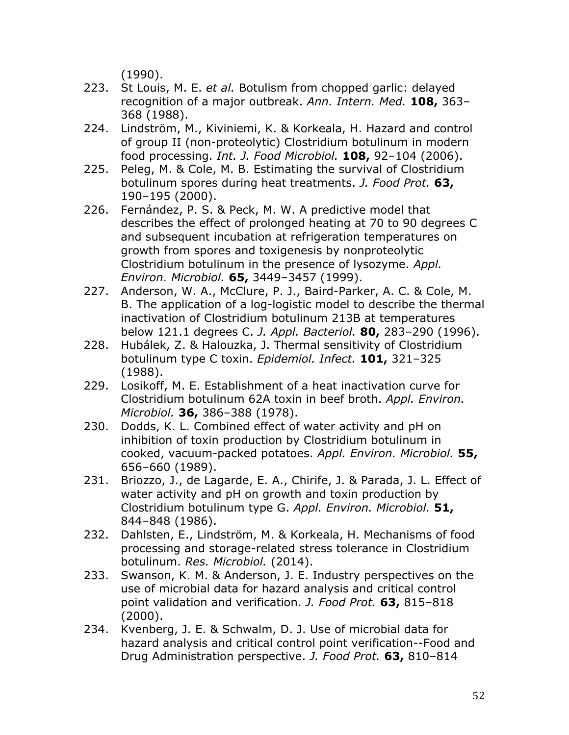(1990).

- 223. St Louis, M. E. *et al.* Botulism from chopped garlic: delayed recognition of a major outbreak. *Ann. Intern. Med.* **108,** 363– 368 (1988).
- 224. Lindström, M., Kiviniemi, K. & Korkeala, H. Hazard and control of group II (non-proteolytic) Clostridium botulinum in modern food processing. *Int. J. Food Microbiol.* **108,** 92–104 (2006).
- 225. Peleg, M. & Cole, M. B. Estimating the survival of Clostridium botulinum spores during heat treatments. *J. Food Prot.* **63,** 190–195 (2000).
- 226. Fernández, P. S. & Peck, M. W. A predictive model that describes the effect of prolonged heating at 70 to 90 degrees C and subsequent incubation at refrigeration temperatures on growth from spores and toxigenesis by nonproteolytic Clostridium botulinum in the presence of lysozyme. *Appl. Environ. Microbiol.* **65,** 3449–3457 (1999).
- 227. Anderson, W. A., McClure, P. J., Baird-Parker, A. C. & Cole, M. B. The application of a log-logistic model to describe the thermal inactivation of Clostridium botulinum 213B at temperatures below 121.1 degrees C. *J. Appl. Bacteriol.* **80,** 283–290 (1996).
- 228. Hubálek, Z. & Halouzka, J. Thermal sensitivity of Clostridium botulinum type C toxin. *Epidemiol. Infect.* **101,** 321–325 (1988).
- 229. Losikoff, M. E. Establishment of a heat inactivation curve for Clostridium botulinum 62A toxin in beef broth. *Appl. Environ. Microbiol.* **36,** 386–388 (1978).
- 230. Dodds, K. L. Combined effect of water activity and pH on inhibition of toxin production by Clostridium botulinum in cooked, vacuum-packed potatoes. *Appl. Environ. Microbiol.* **55,** 656–660 (1989).
- 231. Briozzo, J., de Lagarde, E. A., Chirife, J. & Parada, J. L. Effect of water activity and pH on growth and toxin production by Clostridium botulinum type G. *Appl. Environ. Microbiol.* **51,** 844–848 (1986).
- 232. Dahlsten, E., Lindström, M. & Korkeala, H. Mechanisms of food processing and storage-related stress tolerance in Clostridium botulinum. *Res. Microbiol.* (2014).
- 233. Swanson, K. M. & Anderson, J. E. Industry perspectives on the use of microbial data for hazard analysis and critical control point validation and verification. *J. Food Prot.* **63,** 815–818 (2000).
- 234. Kvenberg, J. E. & Schwalm, D. J. Use of microbial data for hazard analysis and critical control point verification--Food and Drug Administration perspective. *J. Food Prot.* **63,** 810–814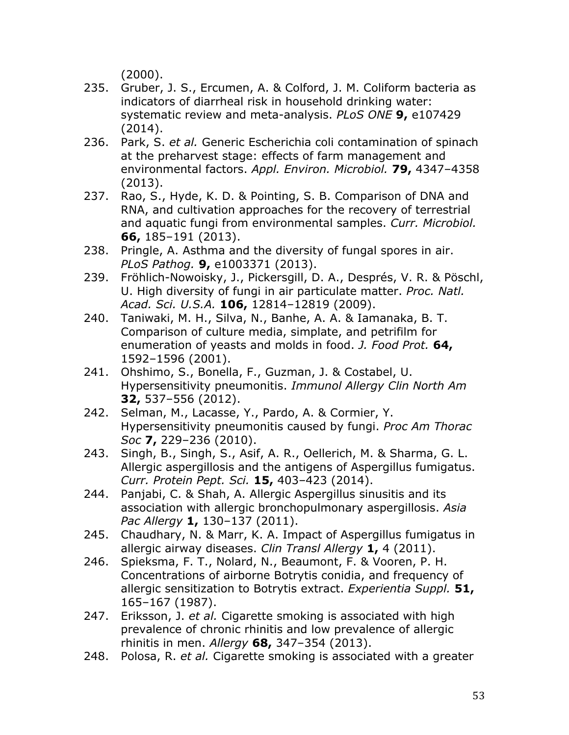(2000).

- 235. Gruber, J. S., Ercumen, A. & Colford, J. M. Coliform bacteria as indicators of diarrheal risk in household drinking water: systematic review and meta-analysis. *PLoS ONE* **9,** e107429 (2014).
- 236. Park, S. *et al.* Generic Escherichia coli contamination of spinach at the preharvest stage: effects of farm management and environmental factors. *Appl. Environ. Microbiol.* **79,** 4347–4358 (2013).
- 237. Rao, S., Hyde, K. D. & Pointing, S. B. Comparison of DNA and RNA, and cultivation approaches for the recovery of terrestrial and aquatic fungi from environmental samples. *Curr. Microbiol.* **66,** 185–191 (2013).
- 238. Pringle, A. Asthma and the diversity of fungal spores in air. *PLoS Pathog.* **9,** e1003371 (2013).
- 239. Fröhlich-Nowoisky, J., Pickersgill, D. A., Després, V. R. & Pöschl, U. High diversity of fungi in air particulate matter. *Proc. Natl. Acad. Sci. U.S.A.* **106,** 12814–12819 (2009).
- 240. Taniwaki, M. H., Silva, N., Banhe, A. A. & Iamanaka, B. T. Comparison of culture media, simplate, and petrifilm for enumeration of yeasts and molds in food. *J. Food Prot.* **64,** 1592–1596 (2001).
- 241. Ohshimo, S., Bonella, F., Guzman, J. & Costabel, U. Hypersensitivity pneumonitis. *Immunol Allergy Clin North Am* **32,** 537–556 (2012).
- 242. Selman, M., Lacasse, Y., Pardo, A. & Cormier, Y. Hypersensitivity pneumonitis caused by fungi. *Proc Am Thorac Soc* **7,** 229–236 (2010).
- 243. Singh, B., Singh, S., Asif, A. R., Oellerich, M. & Sharma, G. L. Allergic aspergillosis and the antigens of Aspergillus fumigatus. *Curr. Protein Pept. Sci.* **15,** 403–423 (2014).
- 244. Panjabi, C. & Shah, A. Allergic Aspergillus sinusitis and its association with allergic bronchopulmonary aspergillosis. *Asia Pac Allergy* **1,** 130–137 (2011).
- 245. Chaudhary, N. & Marr, K. A. Impact of Aspergillus fumigatus in allergic airway diseases. *Clin Transl Allergy* **1,** 4 (2011).
- 246. Spieksma, F. T., Nolard, N., Beaumont, F. & Vooren, P. H. Concentrations of airborne Botrytis conidia, and frequency of allergic sensitization to Botrytis extract. *Experientia Suppl.* **51,** 165–167 (1987).
- 247. Eriksson, J. *et al.* Cigarette smoking is associated with high prevalence of chronic rhinitis and low prevalence of allergic rhinitis in men. *Allergy* **68,** 347–354 (2013).
- 248. Polosa, R. *et al.* Cigarette smoking is associated with a greater